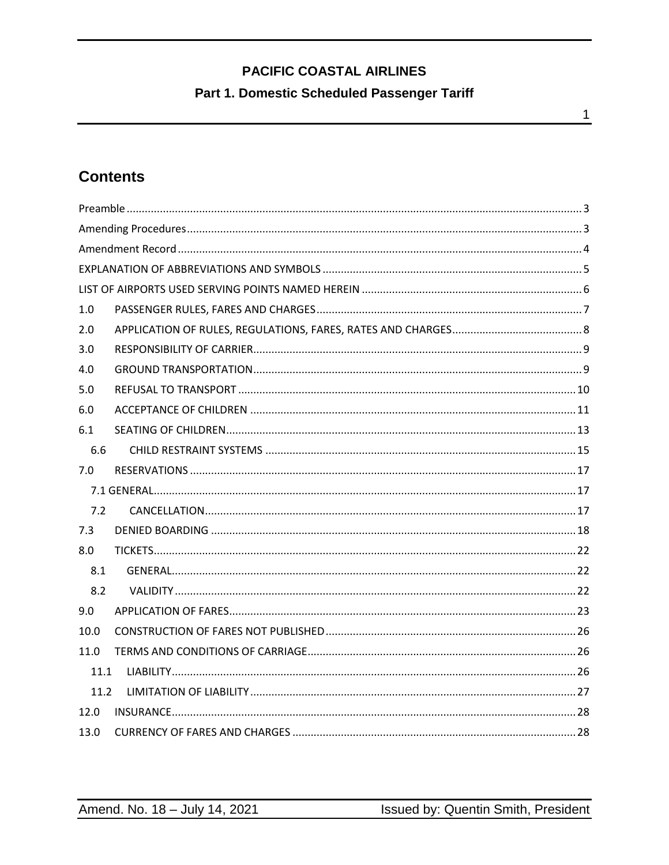### Part 1. Domestic Scheduled Passenger Tariff

# **Contents**

| 1.0  |  |
|------|--|
| 2.0  |  |
| 3.0  |  |
| 4.0  |  |
| 5.0  |  |
| 6.0  |  |
| 6.1  |  |
| 6.6  |  |
| 7.0  |  |
|      |  |
| 7.2  |  |
| 7.3  |  |
| 8.0  |  |
| 8.1  |  |
| 8.2  |  |
| 9.0  |  |
| 10.0 |  |
| 11.0 |  |
| 11.1 |  |
| 11.2 |  |
| 12.0 |  |
| 13.0 |  |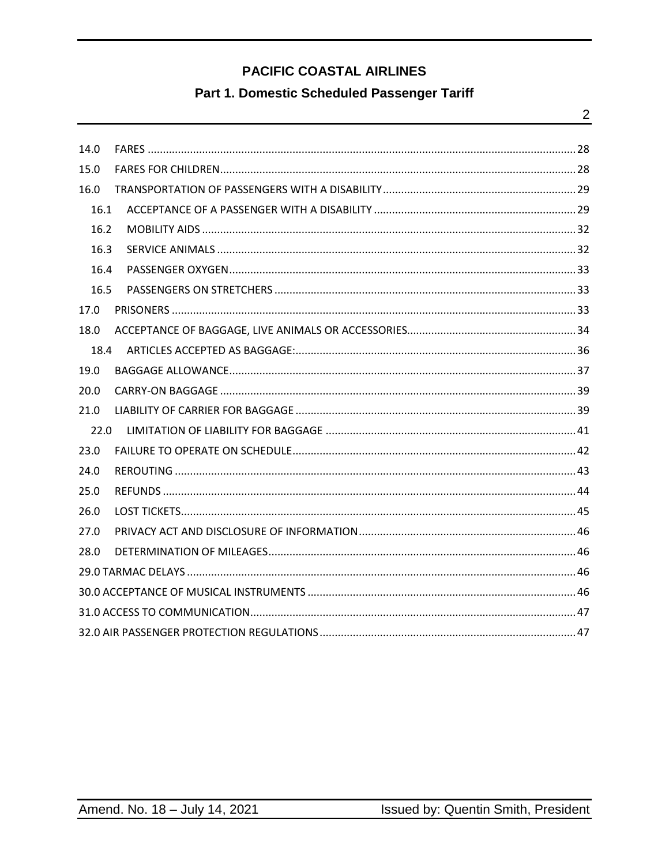### Part 1. Domestic Scheduled Passenger Tariff

| 14.0 |  |
|------|--|
| 15.0 |  |
| 16.0 |  |
| 16.1 |  |
| 16.2 |  |
| 16.3 |  |
| 16.4 |  |
| 16.5 |  |
| 17.0 |  |
| 18.0 |  |
| 18.4 |  |
| 19.0 |  |
| 20.0 |  |
| 21.0 |  |
| 22.0 |  |
| 23.0 |  |
| 24.0 |  |
| 25.0 |  |
| 26.0 |  |
| 27.0 |  |
| 28.0 |  |
|      |  |
|      |  |
|      |  |
|      |  |

 $\overline{2}$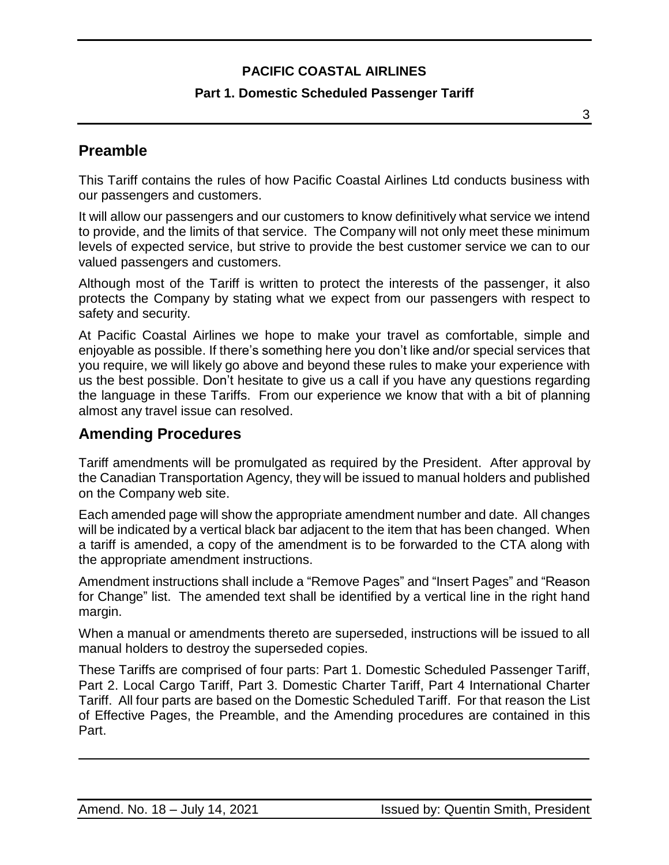### **Part 1. Domestic Scheduled Passenger Tariff**

<span id="page-2-0"></span>**Preamble**

This Tariff contains the rules of how Pacific Coastal Airlines Ltd conducts business with our passengers and customers.

It will allow our passengers and our customers to know definitively what service we intend to provide, and the limits of that service. The Company will not only meet these minimum levels of expected service, but strive to provide the best customer service we can to our valued passengers and customers.

Although most of the Tariff is written to protect the interests of the passenger, it also protects the Company by stating what we expect from our passengers with respect to safety and security.

At Pacific Coastal Airlines we hope to make your travel as comfortable, simple and enjoyable as possible. If there's something here you don't like and/or special services that you require, we will likely go above and beyond these rules to make your experience with us the best possible. Don't hesitate to give us a call if you have any questions regarding the language in these Tariffs. From our experience we know that with a bit of planning almost any travel issue can resolved.

### <span id="page-2-1"></span>**Amending Procedures**

Tariff amendments will be promulgated as required by the President. After approval by the Canadian Transportation Agency, they will be issued to manual holders and published on the Company web site.

Each amended page will show the appropriate amendment number and date. All changes will be indicated by a vertical black bar adjacent to the item that has been changed. When a tariff is amended, a copy of the amendment is to be forwarded to the CTA along with the appropriate amendment instructions.

Amendment instructions shall include a "Remove Pages" and "Insert Pages" and "Reason for Change" list. The amended text shall be identified by a vertical line in the right hand margin.

When a manual or amendments thereto are superseded, instructions will be issued to all manual holders to destroy the superseded copies.

These Tariffs are comprised of four parts: Part 1. Domestic Scheduled Passenger Tariff, Part 2. Local Cargo Tariff, Part 3. Domestic Charter Tariff, Part 4 International Charter Tariff. All four parts are based on the Domestic Scheduled Tariff. For that reason the List of Effective Pages, the Preamble, and the Amending procedures are contained in this Part.

3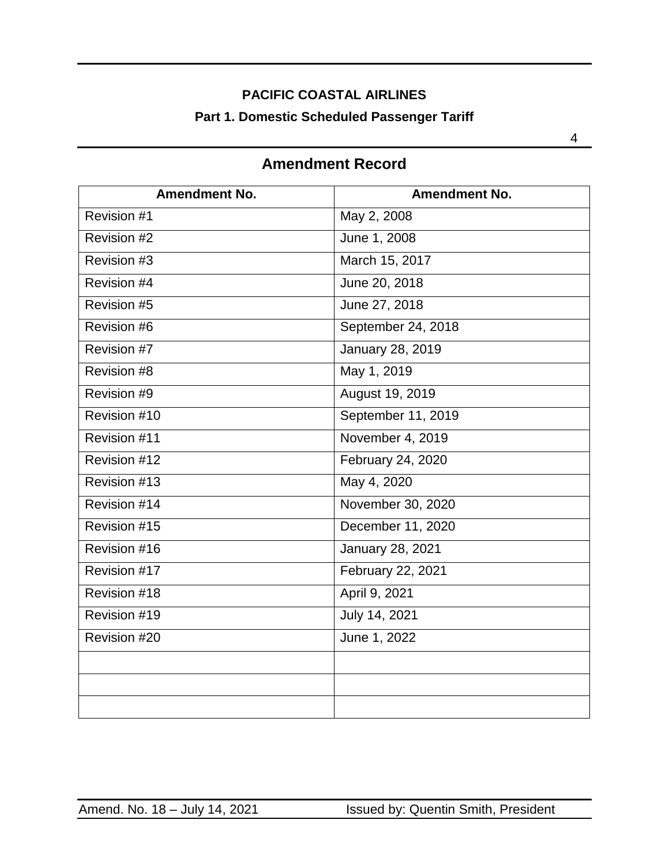# **PACIFIC COASTAL AIRLINES Part 1. Domestic Scheduled Passenger Tariff**

<span id="page-3-0"></span>

| <b>Amendment No.</b> | <b>Amendment No.</b> |
|----------------------|----------------------|
| Revision #1          | May 2, 2008          |
| Revision #2          | June 1, 2008         |
| Revision #3          | March 15, 2017       |
| Revision #4          | June 20, 2018        |
| Revision #5          | June 27, 2018        |
| Revision #6          | September 24, 2018   |
| Revision #7          | January 28, 2019     |
| Revision #8          | May 1, 2019          |
| Revision #9          | August 19, 2019      |
| Revision #10         | September 11, 2019   |
| Revision #11         | November 4, 2019     |
| Revision #12         | February 24, 2020    |
| Revision #13         | May 4, 2020          |
| Revision #14         | November 30, 2020    |
| Revision $#15$       | December 11, 2020    |
| Revision #16         | January 28, 2021     |
| Revision #17         | February 22, 2021    |
| Revision #18         | April 9, 2021        |
| Revision #19         | July 14, 2021        |
| Revision #20         | June 1, 2022         |
|                      |                      |
|                      |                      |
|                      |                      |

### **Amendment Record**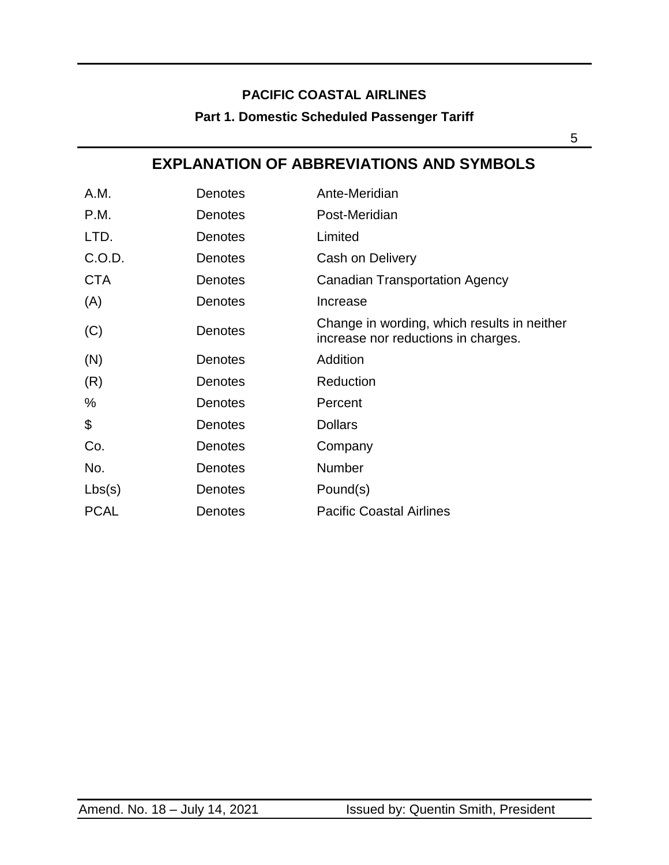### **Part 1. Domestic Scheduled Passenger Tariff**

## **EXPLANATION OF ABBREVIATIONS AND SYMBOLS**

| A.M.        | Denotes        | Ante-Meridian                                                                      |
|-------------|----------------|------------------------------------------------------------------------------------|
| P.M.        | <b>Denotes</b> | Post-Meridian                                                                      |
| LTD.        | <b>Denotes</b> | Limited                                                                            |
| C.O.D.      | <b>Denotes</b> | Cash on Delivery                                                                   |
| <b>CTA</b>  | Denotes        | <b>Canadian Transportation Agency</b>                                              |
| (A)         | <b>Denotes</b> | Increase                                                                           |
| (C)         | <b>Denotes</b> | Change in wording, which results in neither<br>increase nor reductions in charges. |
| (N)         | <b>Denotes</b> | Addition                                                                           |
| (R)         | <b>Denotes</b> | Reduction                                                                          |
| %           | <b>Denotes</b> | Percent                                                                            |
| \$          | Denotes        | <b>Dollars</b>                                                                     |
| Co.         | <b>Denotes</b> | Company                                                                            |
| No.         | <b>Denotes</b> | <b>Number</b>                                                                      |
| Lbs(s)      | <b>Denotes</b> | Pound(s)                                                                           |
| <b>PCAL</b> | <b>Denotes</b> | <b>Pacific Coastal Airlines</b>                                                    |

<span id="page-4-0"></span> $5<sup>1</sup>$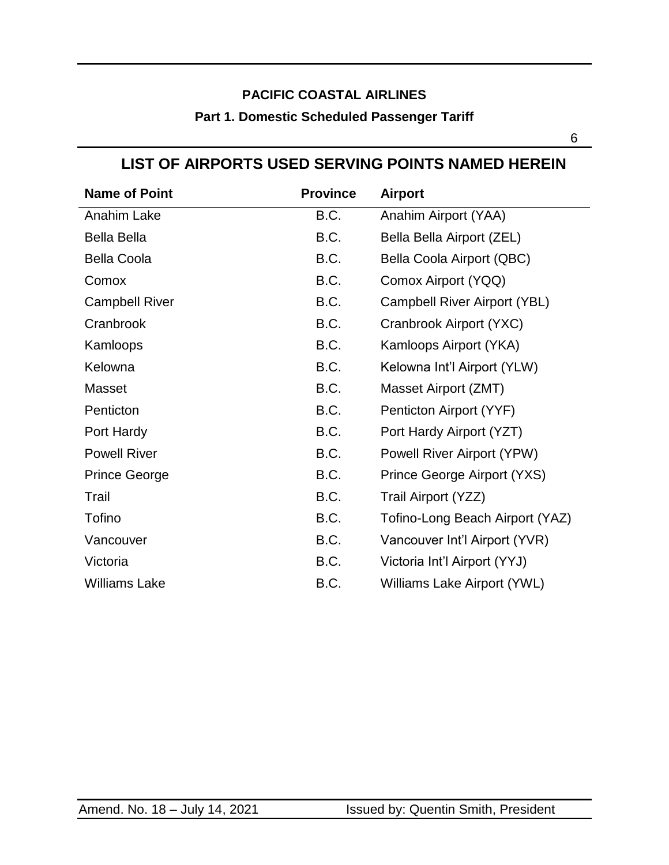# **PACIFIC COASTAL AIRLINES Part 1. Domestic Scheduled Passenger Tariff**

<span id="page-5-0"></span> $\overline{6}$ 

| <b>Name of Point</b>  | <b>Province</b> | <b>Airport</b>                  |
|-----------------------|-----------------|---------------------------------|
| Anahim Lake           | B.C.            | Anahim Airport (YAA)            |
| <b>Bella Bella</b>    | B.C.            | Bella Bella Airport (ZEL)       |
| <b>Bella Coola</b>    | B.C.            | Bella Coola Airport (QBC)       |
| Comox                 | B.C.            | Comox Airport (YQQ)             |
| <b>Campbell River</b> | B.C.            | Campbell River Airport (YBL)    |
| Cranbrook             | B.C.            | Cranbrook Airport (YXC)         |
| Kamloops              | B.C.            | Kamloops Airport (YKA)          |
| Kelowna               | B.C.            | Kelowna Int'l Airport (YLW)     |
| <b>Masset</b>         | B.C.            | Masset Airport (ZMT)            |
| Penticton             | B.C.            | Penticton Airport (YYF)         |
| Port Hardy            | B.C.            | Port Hardy Airport (YZT)        |
| <b>Powell River</b>   | B.C.            | Powell River Airport (YPW)      |
| <b>Prince George</b>  | B.C.            | Prince George Airport (YXS)     |
| Trail                 | B.C.            | Trail Airport (YZZ)             |
| Tofino                | B.C.            | Tofino-Long Beach Airport (YAZ) |
| Vancouver             | B.C.            | Vancouver Int'l Airport (YVR)   |
| Victoria              | B.C.            | Victoria Int'l Airport (YYJ)    |
| <b>Williams Lake</b>  | B.C.            | Williams Lake Airport (YWL)     |

### **LIST OF AIRPORTS USED SERVING POINTS NAMED HEREIN**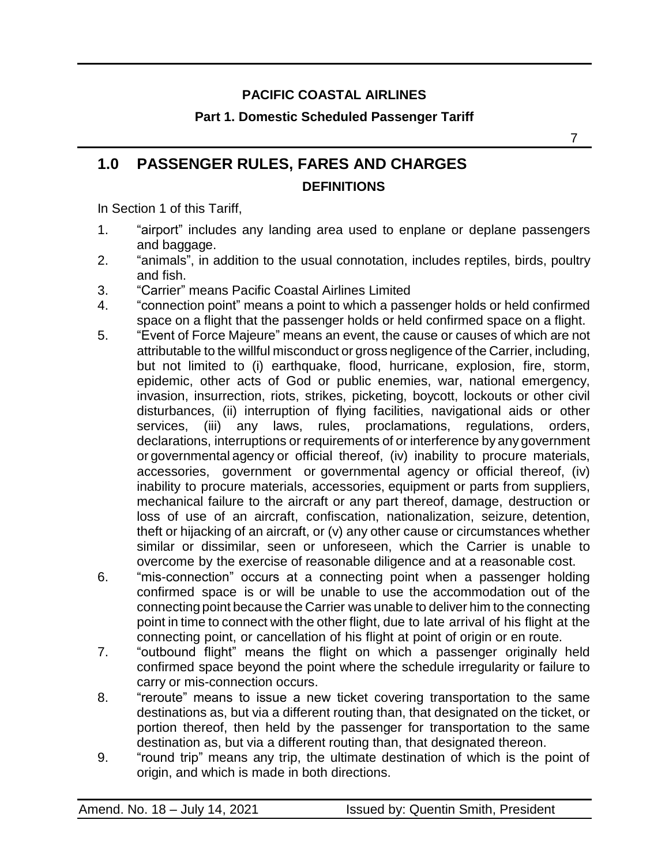### **Part 1. Domestic Scheduled Passenger Tariff**

# <span id="page-6-0"></span>**1.0 PASSENGER RULES, FARES AND CHARGES DEFINITIONS**

In Section 1 of this Tariff,

- 1. "airport" includes any landing area used to enplane or deplane passengers and baggage.
- 2. "animals", in addition to the usual connotation, includes reptiles, birds, poultry and fish.
- 3. "Carrier" means Pacific Coastal Airlines Limited
- 4. "connection point" means a point to which a passenger holds or held confirmed space on a flight that the passenger holds or held confirmed space on a flight.
- 5. "Event of Force Majeure" means an event, the cause or causes of which are not attributable to the willful misconduct or gross negligence of the Carrier, including, but not limited to (i) earthquake, flood, hurricane, explosion, fire, storm, epidemic, other acts of God or public enemies, war, national emergency, invasion, insurrection, riots, strikes, picketing, boycott, lockouts or other civil disturbances, (ii) interruption of flying facilities, navigational aids or other services, (iii) any laws, rules, proclamations, regulations, orders, declarations, interruptions or requirements of or interference by any government or governmental agency or official thereof, (iv) inability to procure materials, accessories, government or governmental agency or official thereof, (iv) inability to procure materials, accessories, equipment or parts from suppliers, mechanical failure to the aircraft or any part thereof, damage, destruction or loss of use of an aircraft, confiscation, nationalization, seizure, detention, theft or hijacking of an aircraft, or (v) any other cause or circumstances whether similar or dissimilar, seen or unforeseen, which the Carrier is unable to overcome by the exercise of reasonable diligence and at a reasonable cost.
- 6. "mis-connection" occurs at a connecting point when a passenger holding confirmed space is or will be unable to use the accommodation out of the connecting point because the Carrier was unable to deliver him to the connecting point in time to connect with the other flight, due to late arrival of his flight at the connecting point, or cancellation of his flight at point of origin or en route.
- 7. "outbound flight" means the flight on which a passenger originally held confirmed space beyond the point where the schedule irregularity or failure to carry or mis-connection occurs.
- 8. "reroute" means to issue a new ticket covering transportation to the same destinations as, but via a different routing than, that designated on the ticket, or portion thereof, then held by the passenger for transportation to the same destination as, but via a different routing than, that designated thereon.
- 9. "round trip" means any trip, the ultimate destination of which is the point of origin, and which is made in both directions.

7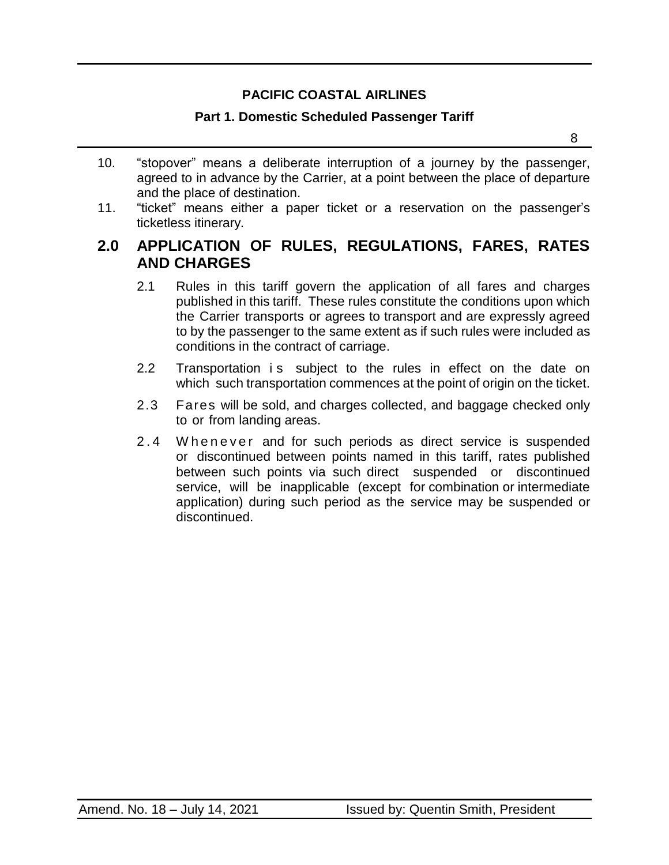#### **Part 1. Domestic Scheduled Passenger Tariff**

- 10. "stopover" means a deliberate interruption of a journey by the passenger, agreed to in advance by the Carrier, at a point between the place of departure and the place of destination.
- 11. "ticket" means either a paper ticket or a reservation on the passenger's ticketless itinerary.

### <span id="page-7-0"></span>**2.0 APPLICATION OF RULES, REGULATIONS, FARES, RATES AND CHARGES**

- 2.1 Rules in this tariff govern the application of all fares and charges published in this tariff. These rules constitute the conditions upon which the Carrier transports or agrees to transport and are expressly agreed to by the passenger to the same extent as if such rules were included as conditions in the contract of carriage.
- 2.2 Transportation is subject to the rules in effect on the date on which such transportation commences at the point of origin on the ticket.
- 2.3 Fares will be sold, and charges collected, and baggage checked only to or from landing areas.
- 2.4 W h e n e v e r and for such periods as direct service is suspended or discontinued between points named in this tariff, rates published between such points via such direct suspended or discontinued service, will be inapplicable (except for combination or intermediate application) during such period as the service may be suspended or discontinued.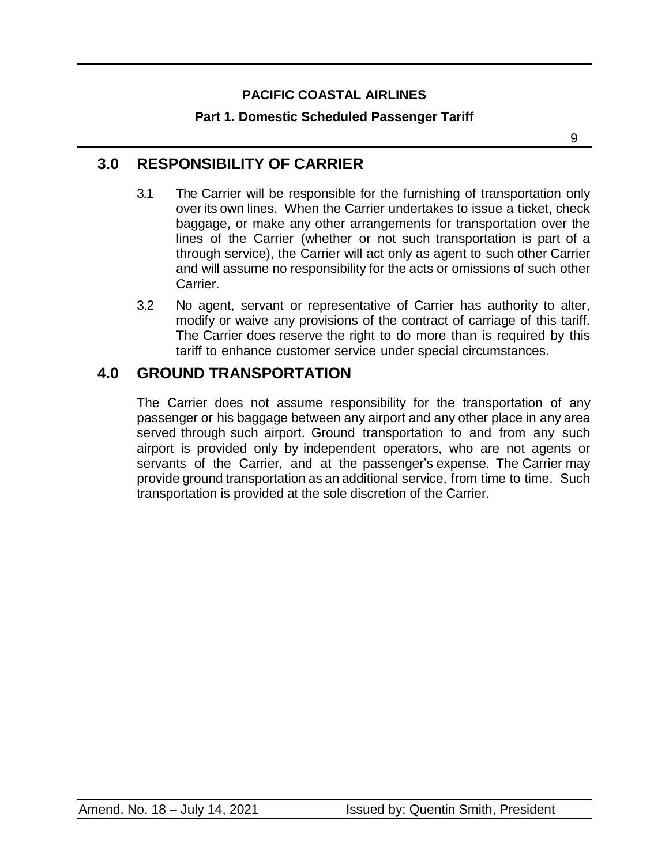### **Part 1. Domestic Scheduled Passenger Tariff**

9

## <span id="page-8-0"></span>**3.0 RESPONSIBILITY OF CARRIER**

- 3.1 The Carrier will be responsible for the furnishing of transportation only over its own lines. When the Carrier undertakes to issue a ticket, check baggage, or make any other arrangements for transportation over the lines of the Carrier (whether or not such transportation is part of a through service), the Carrier will act only as agent to such other Carrier and will assume no responsibility for the acts or omissions of such other Carrier.
- 3.2 No agent, servant or representative of Carrier has authority to alter, modify or waive any provisions of the contract of carriage of this tariff. The Carrier does reserve the right to do more than is required by this tariff to enhance customer service under special circumstances.

### <span id="page-8-1"></span>**4.0 GROUND TRANSPORTATION**

The Carrier does not assume responsibility for the transportation of any passenger or his baggage between any airport and any other place in any area served through such airport. Ground transportation to and from any such airport is provided only by independent operators, who are not agents or servants of the Carrier, and at the passenger's expense. The Carrier may provide ground transportation as an additional service, from time to time. Such transportation is provided at the sole discretion of the Carrier.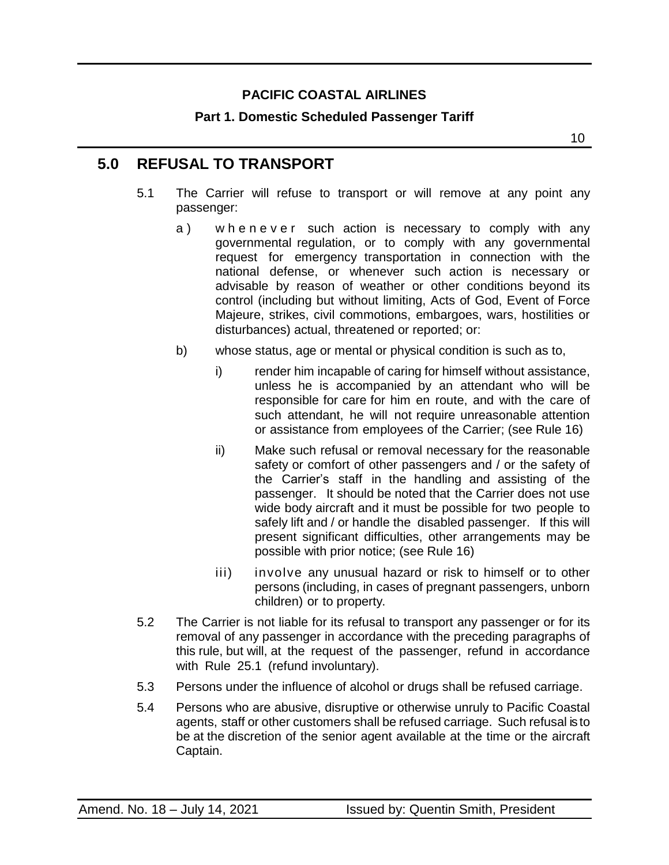### **Part 1. Domestic Scheduled Passenger Tariff**

### <span id="page-9-0"></span>**5.0 REFUSAL TO TRANSPORT**

- 5.1 The Carrier will refuse to transport or will remove at any point any passenger:
	- a) whenever such action is necessary to comply with any governmental regulation, or to comply with any governmental request for emergency transportation in connection with the national defense, or whenever such action is necessary or advisable by reason of weather or other conditions beyond its control (including but without limiting, Acts of God, Event of Force Majeure, strikes, civil commotions, embargoes, wars, hostilities or disturbances) actual, threatened or reported; or:
	- b) whose status, age or mental or physical condition is such as to,
		- i) render him incapable of caring for himself without assistance, unless he is accompanied by an attendant who will be responsible for care for him en route, and with the care of such attendant, he will not require unreasonable attention or assistance from employees of the Carrier; (see Rule 16)
		- ii) Make such refusal or removal necessary for the reasonable safety or comfort of other passengers and / or the safety of the Carrier's staff in the handling and assisting of the passenger. It should be noted that the Carrier does not use wide body aircraft and it must be possible for two people to safely lift and / or handle the disabled passenger. If this will present significant difficulties, other arrangements may be possible with prior notice; (see Rule 16)
		- iii) involve any unusual hazard or risk to himself or to other persons (including, in cases of pregnant passengers, unborn children) or to property.
- 5.2 The Carrier is not liable for its refusal to transport any passenger or for its removal of any passenger in accordance with the preceding paragraphs of this rule, but will, at the request of the passenger, refund in accordance with Rule 25.1 (refund involuntary).
- 5.3 Persons under the influence of alcohol or drugs shall be refused carriage.
- 5.4 Persons who are abusive, disruptive or otherwise unruly to Pacific Coastal agents, staff or other customers shall be refused carriage. Such refusal is to be at the discretion of the senior agent available at the time or the aircraft Captain.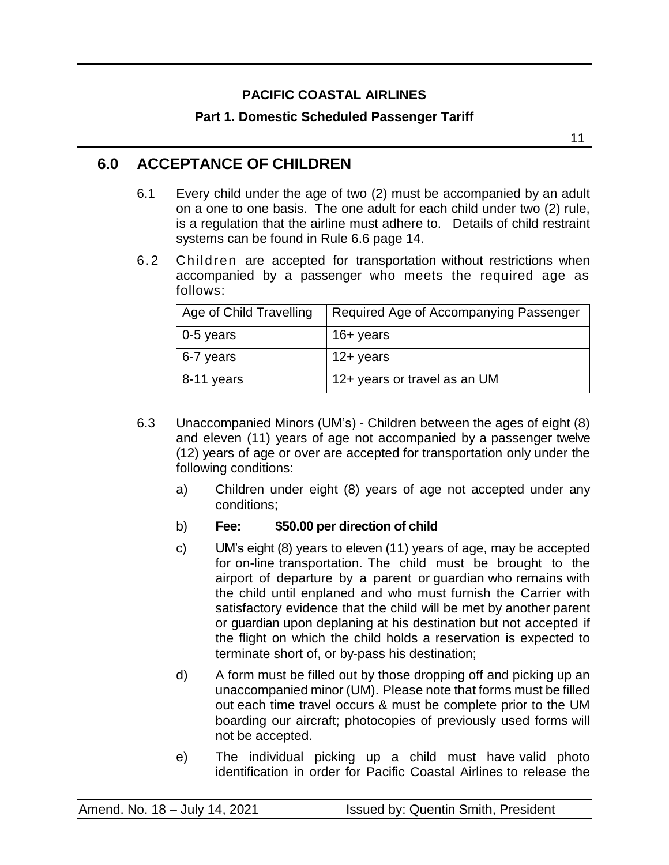### **Part 1. Domestic Scheduled Passenger Tariff**

## <span id="page-10-0"></span>**6.0 ACCEPTANCE OF CHILDREN**

- 6.1 Every child under the age of two (2) must be accompanied by an adult on a one to one basis. The one adult for each child under two (2) rule, is a regulation that the airline must adhere to. Details of child restraint systems can be found in Rule 6.6 page 14.
- 6.2 Children are accepted for transportation without restrictions when accompanied by a passenger who meets the required age as follows:

| Age of Child Travelling | Required Age of Accompanying Passenger |  |
|-------------------------|----------------------------------------|--|
| 0-5 years               | 16+ years                              |  |
| 6-7 years               | 12+ years                              |  |
| 8-11 years              | 12+ years or travel as an UM           |  |

- 6.3 Unaccompanied Minors (UM's) Children between the ages of eight (8) and eleven (11) years of age not accompanied by a passenger twelve (12) years of age or over are accepted for transportation only under the following conditions:
	- a) Children under eight (8) years of age not accepted under any conditions;
	- b) **Fee: \$50.00 per direction of child**
	- c) UM's eight (8) years to eleven (11) years of age, may be accepted for on-line transportation. The child must be brought to the airport of departure by a parent or guardian who remains with the child until enplaned and who must furnish the Carrier with satisfactory evidence that the child will be met by another parent or guardian upon deplaning at his destination but not accepted if the flight on which the child holds a reservation is expected to terminate short of, or by-pass his destination;
	- d) A form must be filled out by those dropping off and picking up an unaccompanied minor (UM). Please note that forms must be filled out each time travel occurs & must be complete prior to the UM boarding our aircraft; photocopies of previously used forms will not be accepted.
	- e) The individual picking up a child must have valid photo identification in order for Pacific Coastal Airlines to release the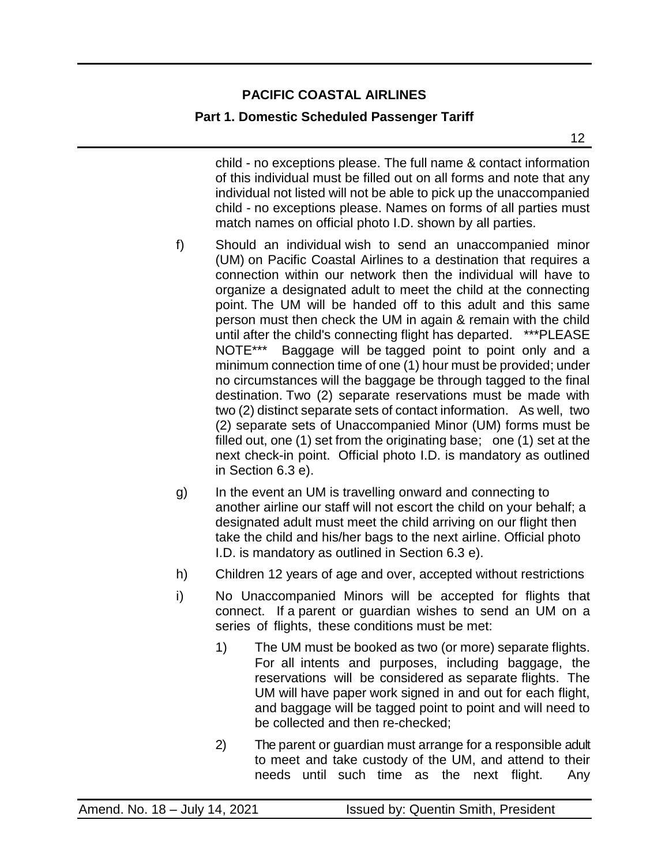### **Part 1. Domestic Scheduled Passenger Tariff**

child - no exceptions please. The full name & contact information of this individual must be filled out on all forms and note that any individual not listed will not be able to pick up the unaccompanied child - no exceptions please. Names on forms of all parties must match names on official photo I.D. shown by all parties.

- f) Should an individual wish to send an unaccompanied minor (UM) on Pacific Coastal Airlines to a destination that requires a connection within our network then the individual will have to organize a designated adult to meet the child at the connecting point. The UM will be handed off to this adult and this same person must then check the UM in again & remain with the child until after the child's connecting flight has departed. \*\*\*PLEASE NOTE\*\*\* Baggage will be tagged point to point only and a minimum connection time of one (1) hour must be provided; under no circumstances will the baggage be through tagged to the final destination. Two (2) separate reservations must be made with two (2) distinct separate sets of contact information. As well, two (2) separate sets of Unaccompanied Minor (UM) forms must be filled out, one (1) set from the originating base; one (1) set at the next check-in point. Official photo I.D. is mandatory as outlined in Section 6.3 e).
- g) In the event an UM is travelling onward and connecting to another airline our staff will not escort the child on your behalf; a designated adult must meet the child arriving on our flight then take the child and his/her bags to the next airline. Official photo I.D. is mandatory as outlined in Section 6.3 e).
- h) Children 12 years of age and over, accepted without restrictions
- i) No Unaccompanied Minors will be accepted for flights that connect. If a parent or guardian wishes to send an UM on a series of flights, these conditions must be met:
	- 1) The UM must be booked as two (or more) separate flights. For all intents and purposes, including baggage, the reservations will be considered as separate flights. The UM will have paper work signed in and out for each flight, and baggage will be tagged point to point and will need to be collected and then re-checked;
	- 2) The parent or guardian must arrange for a responsible adult to meet and take custody of the UM, and attend to their needs until such time as the next flight. Any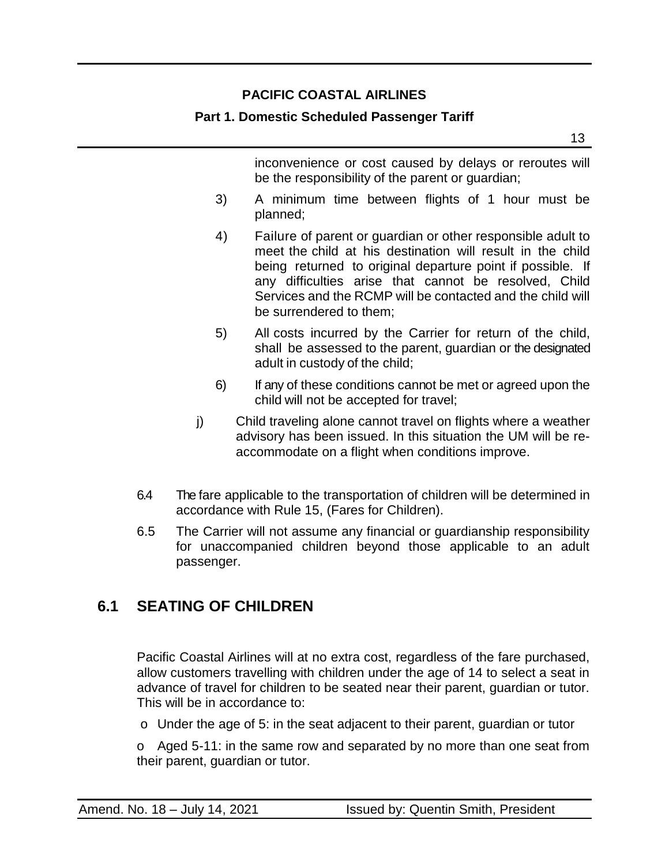#### **Part 1. Domestic Scheduled Passenger Tariff**

13

inconvenience or cost caused by delays or reroutes will be the responsibility of the parent or guardian;

- 3) A minimum time between flights of 1 hour must be planned;
- 4) Failure of parent or guardian or other responsible adult to meet the child at his destination will result in the child being returned to original departure point if possible. If any difficulties arise that cannot be resolved, Child Services and the RCMP will be contacted and the child will be surrendered to them;
- 5) All costs incurred by the Carrier for return of the child, shall be assessed to the parent, guardian or the designated adult in custody of the child;
- 6) If any of these conditions cannot be met or agreed upon the child will not be accepted for travel;
- j) Child traveling alone cannot travel on flights where a weather advisory has been issued. In this situation the UM will be reaccommodate on a flight when conditions improve.
- 6.4 The fare applicable to the transportation of children will be determined in accordance with Rule 15, (Fares for Children).
- 6.5 The Carrier will not assume any financial or guardianship responsibility for unaccompanied children beyond those applicable to an adult passenger.

## <span id="page-12-0"></span>**6.1 SEATING OF CHILDREN**

Pacific Coastal Airlines will at no extra cost, regardless of the fare purchased, allow customers travelling with children under the age of 14 to select a seat in advance of travel for children to be seated near their parent, guardian or tutor. This will be in accordance to:

o Under the age of 5: in the seat adjacent to their parent, guardian or tutor

o Aged 5-11: in the same row and separated by no more than one seat from their parent, guardian or tutor.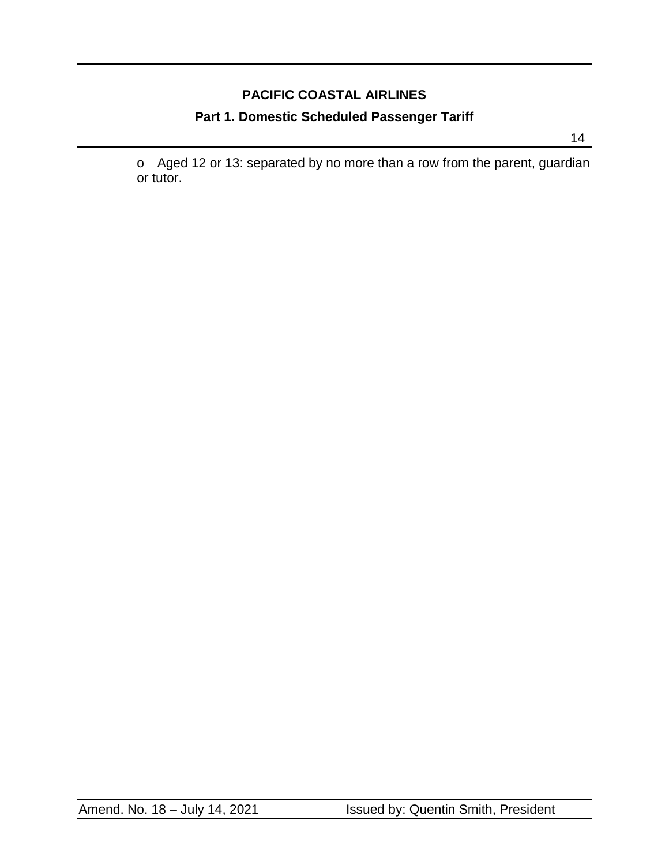# **PACIFIC COASTAL AIRLINES Part 1. Domestic Scheduled Passenger Tariff**

o Aged 12 or 13: separated by no more than a row from the parent, guardian or tutor.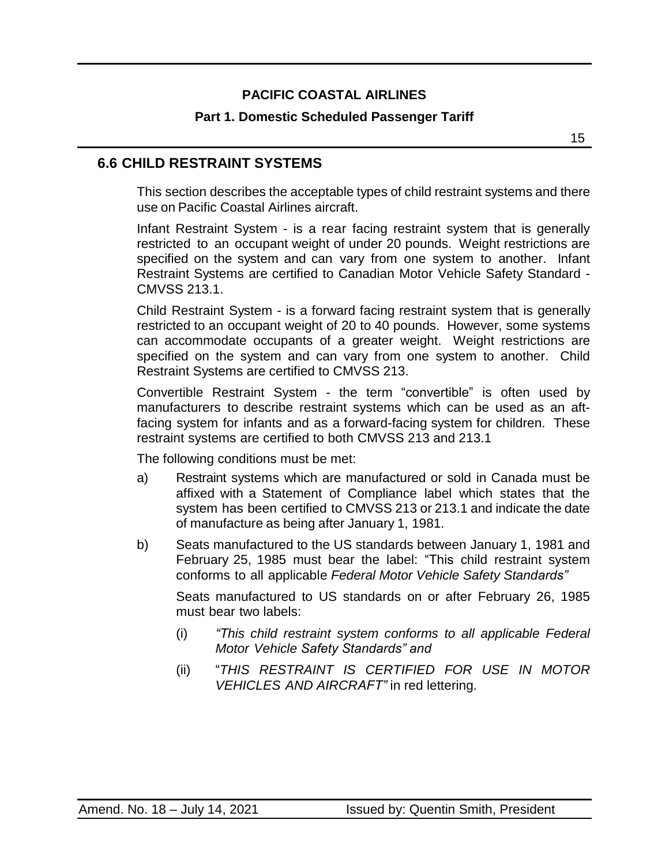#### **Part 1. Domestic Scheduled Passenger Tariff**

### <span id="page-14-0"></span>**6.6 CHILD RESTRAINT SYSTEMS**

This section describes the acceptable types of child restraint systems and there use on Pacific Coastal Airlines aircraft.

Infant Restraint System - is a rear facing restraint system that is generally restricted to an occupant weight of under 20 pounds. Weight restrictions are specified on the system and can vary from one system to another. Infant Restraint Systems are certified to Canadian Motor Vehicle Safety Standard - CMVSS 213.1.

Child Restraint System - is a forward facing restraint system that is generally restricted to an occupant weight of 20 to 40 pounds. However, some systems can accommodate occupants of a greater weight. Weight restrictions are specified on the system and can vary from one system to another. Child Restraint Systems are certified to CMVSS 213.

Convertible Restraint System - the term "convertible" is often used by manufacturers to describe restraint systems which can be used as an aftfacing system for infants and as a forward-facing system for children. These restraint systems are certified to both CMVSS 213 and 213.1

The following conditions must be met:

- a) Restraint systems which are manufactured or sold in Canada must be affixed with a Statement of Compliance label which states that the system has been certified to CMVSS 213 or 213.1 and indicate the date of manufacture as being after January 1, 1981.
- b) Seats manufactured to the US standards between January 1, 1981 and February 25, 1985 must bear the label: "This child restraint system conforms to all applicable *Federal Motor Vehicle Safety Standards"*

Seats manufactured to US standards on or after February 26, 1985 must bear two labels:

- (i) *"This child restraint system conforms to all applicable Federal Motor Vehicle Safety Standards" and*
- (ii) "*THIS RESTRAINT IS CERTIFIED FOR USE IN MOTOR VEHICLES AND AIRCRAFT"* in red lettering.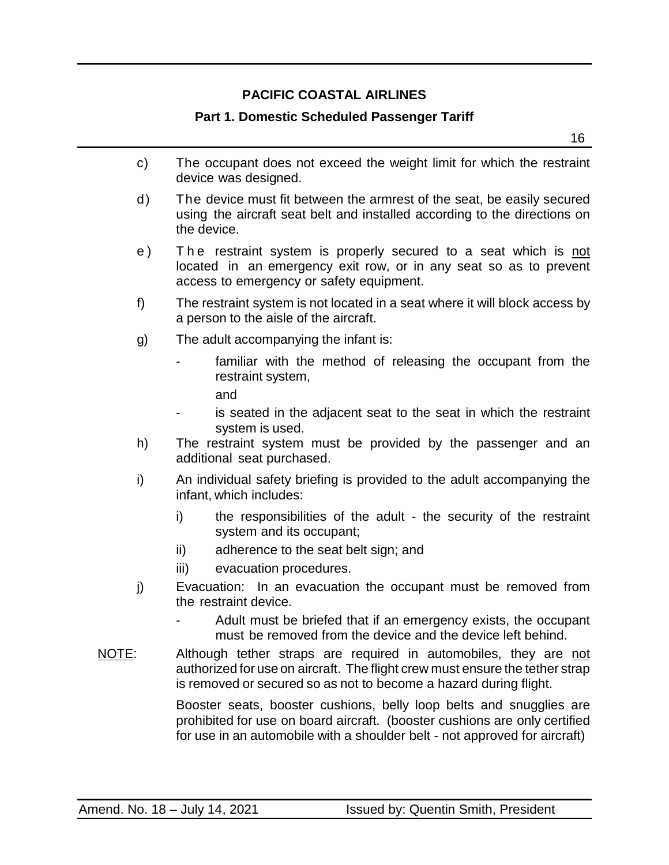#### **Part 1. Domestic Scheduled Passenger Tariff**

 $16$ 

- c) The occupant does not exceed the weight limit for which the restraint device was designed.
- d) The device must fit between the armrest of the seat, be easily secured using the aircraft seat belt and installed according to the directions on the device.
- e) The restraint system is properly secured to a seat which is not located in an emergency exit row, or in any seat so as to prevent access to emergency or safety equipment.
- f) The restraint system is not located in a seat where it will block access by a person to the aisle of the aircraft.
- g) The adult accompanying the infant is:
	- familiar with the method of releasing the occupant from the restraint system,
		- and
	- is seated in the adjacent seat to the seat in which the restraint system is used.
- h) The restraint system must be provided by the passenger and an additional seat purchased.
- i) An individual safety briefing is provided to the adult accompanying the infant, which includes:
	- i) the responsibilities of the adult the security of the restraint system and its occupant;
	- ii) adherence to the seat belt sign; and
	- iii) evacuation procedures.
- j) Evacuation: In an evacuation the occupant must be removed from the restraint device.
	- Adult must be briefed that if an emergency exists, the occupant must be removed from the device and the device left behind.
- NOTE: Although tether straps are required in automobiles, they are not authorized for use on aircraft. The flight crew must ensure the tether strap is removed or secured so as not to become a hazard during flight.

Booster seats, booster cushions, belly loop belts and snugglies are prohibited for use on board aircraft. (booster cushions are only certified for use in an automobile with a shoulder belt - not approved for aircraft)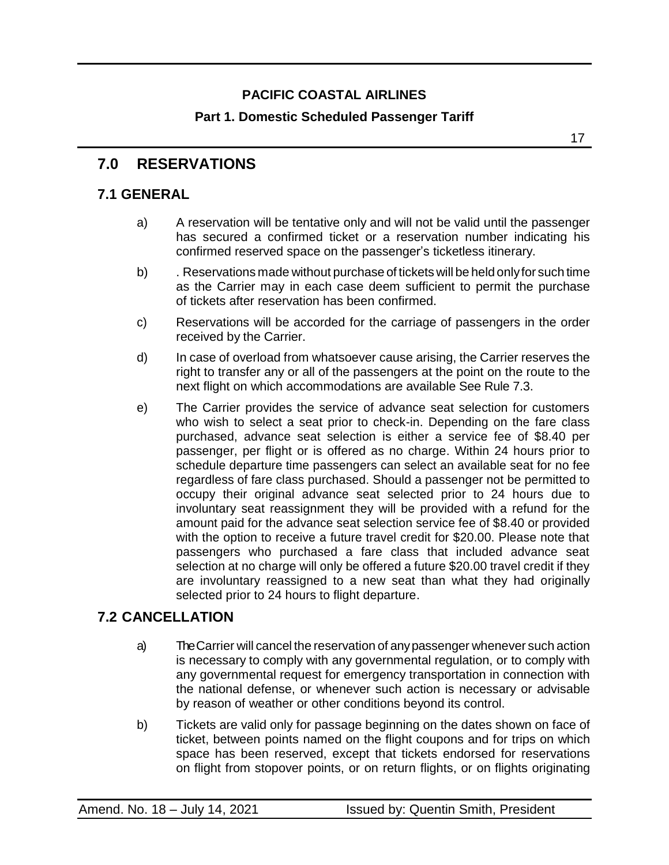### **Part 1. Domestic Scheduled Passenger Tariff**

### <span id="page-16-0"></span>**7.0 RESERVATIONS**

### <span id="page-16-1"></span>**7.1 GENERAL**

- a) A reservation will be tentative only and will not be valid until the passenger has secured a confirmed ticket or a reservation number indicating his confirmed reserved space on the passenger's ticketless itinerary.
- b) . Reservations made without purchase of tickets will be held onlyfor such time as the Carrier may in each case deem sufficient to permit the purchase of tickets after reservation has been confirmed.
- c) Reservations will be accorded for the carriage of passengers in the order received by the Carrier.
- d) In case of overload from whatsoever cause arising, the Carrier reserves the right to transfer any or all of the passengers at the point on the route to the next flight on which accommodations are available See Rule 7.3.
- e) The Carrier provides the service of advance seat selection for customers who wish to select a seat prior to check-in. Depending on the fare class purchased, advance seat selection is either a service fee of \$8.40 per passenger, per flight or is offered as no charge. Within 24 hours prior to schedule departure time passengers can select an available seat for no fee regardless of fare class purchased. Should a passenger not be permitted to occupy their original advance seat selected prior to 24 hours due to involuntary seat reassignment they will be provided with a refund for the amount paid for the advance seat selection service fee of \$8.40 or provided with the option to receive a future travel credit for \$20.00. Please note that passengers who purchased a fare class that included advance seat selection at no charge will only be offered a future \$20.00 travel credit if they are involuntary reassigned to a new seat than what they had originally selected prior to 24 hours to flight departure.

#### <span id="page-16-2"></span>**7.2 CANCELLATION**

- a) The Carrier will cancel the reservation of anypassenger whenever such action is necessary to comply with any governmental regulation, or to comply with any governmental request for emergency transportation in connection with the national defense, or whenever such action is necessary or advisable by reason of weather or other conditions beyond its control.
- b) Tickets are valid only for passage beginning on the dates shown on face of ticket, between points named on the flight coupons and for trips on which space has been reserved, except that tickets endorsed for reservations on flight from stopover points, or on return flights, or on flights originating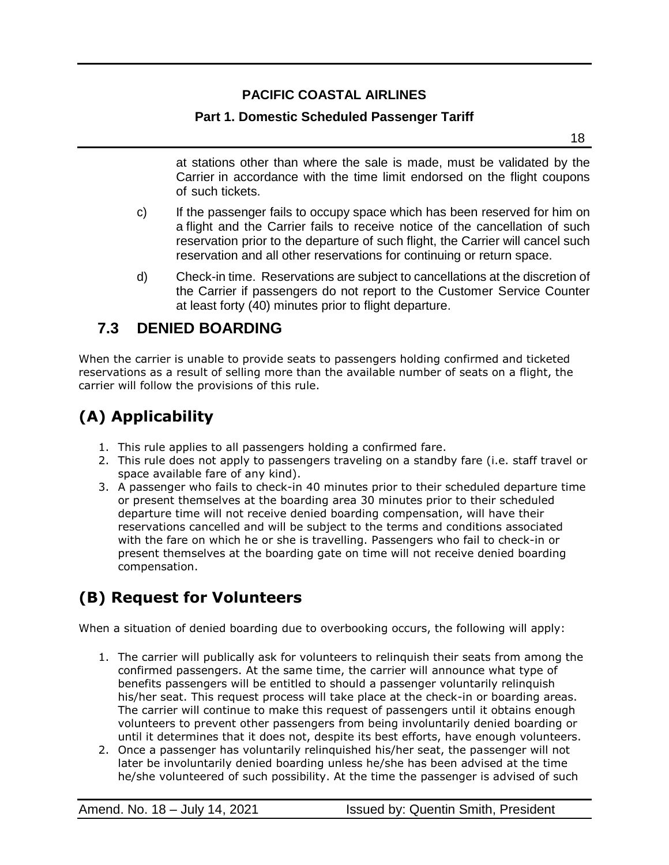### **Part 1. Domestic Scheduled Passenger Tariff**

 $18$ 

at stations other than where the sale is made, must be validated by the Carrier in accordance with the time limit endorsed on the flight coupons of such tickets.

- c) If the passenger fails to occupy space which has been reserved for him on a flight and the Carrier fails to receive notice of the cancellation of such reservation prior to the departure of such flight, the Carrier will cancel such reservation and all other reservations for continuing or return space.
- d) Check-in time. Reservations are subject to cancellations at the discretion of the Carrier if passengers do not report to the Customer Service Counter at least forty (40) minutes prior to flight departure.

## <span id="page-17-0"></span>**7.3 DENIED BOARDING**

When the carrier is unable to provide seats to passengers holding confirmed and ticketed reservations as a result of selling more than the available number of seats on a flight, the carrier will follow the provisions of this rule.

# **(A) Applicability**

- 1. This rule applies to all passengers holding a confirmed fare.
- 2. This rule does not apply to passengers traveling on a standby fare (i.e. staff travel or space available fare of any kind).
- 3. A passenger who fails to check-in 40 minutes prior to their scheduled departure time or present themselves at the boarding area 30 minutes prior to their scheduled departure time will not receive denied boarding compensation, will have their reservations cancelled and will be subject to the terms and conditions associated with the fare on which he or she is travelling. Passengers who fail to check-in or present themselves at the boarding gate on time will not receive denied boarding compensation.

# **(B) Request for Volunteers**

When a situation of denied boarding due to overbooking occurs, the following will apply:

- 1. The carrier will publically ask for volunteers to relinquish their seats from among the confirmed passengers. At the same time, the carrier will announce what type of benefits passengers will be entitled to should a passenger voluntarily relinquish his/her seat. This request process will take place at the check-in or boarding areas. The carrier will continue to make this request of passengers until it obtains enough volunteers to prevent other passengers from being involuntarily denied boarding or until it determines that it does not, despite its best efforts, have enough volunteers.
- 2. Once a passenger has voluntarily relinquished his/her seat, the passenger will not later be involuntarily denied boarding unless he/she has been advised at the time he/she volunteered of such possibility. At the time the passenger is advised of such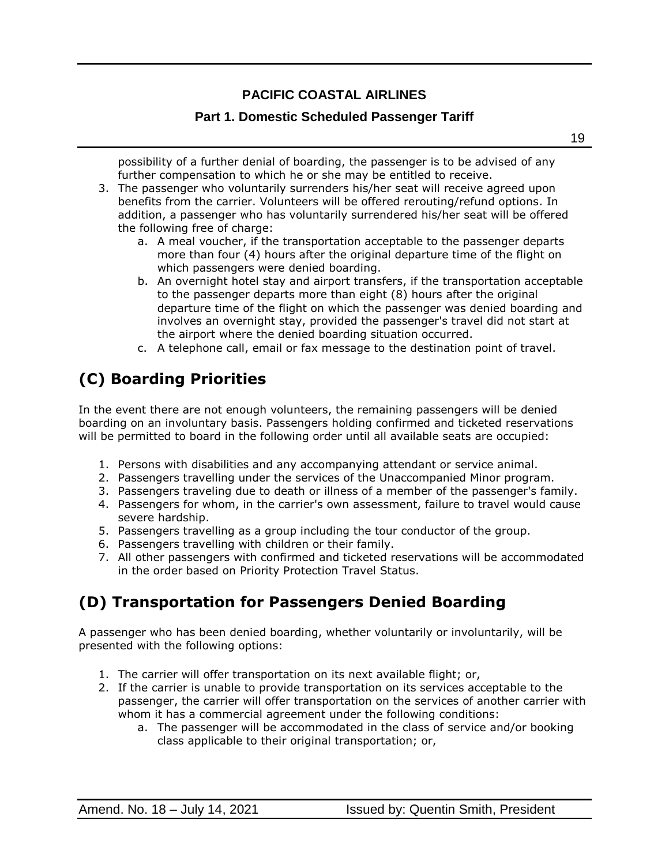#### **Part 1. Domestic Scheduled Passenger Tariff**

possibility of a further denial of boarding, the passenger is to be advised of any further compensation to which he or she may be entitled to receive.

- 3. The passenger who voluntarily surrenders his/her seat will receive agreed upon benefits from the carrier. Volunteers will be offered rerouting/refund options. In addition, a passenger who has voluntarily surrendered his/her seat will be offered the following free of charge:
	- a. A meal voucher, if the transportation acceptable to the passenger departs more than four (4) hours after the original departure time of the flight on which passengers were denied boarding.
	- b. An overnight hotel stay and airport transfers, if the transportation acceptable to the passenger departs more than eight (8) hours after the original departure time of the flight on which the passenger was denied boarding and involves an overnight stay, provided the passenger's travel did not start at the airport where the denied boarding situation occurred.
	- c. A telephone call, email or fax message to the destination point of travel.

# **(C) Boarding Priorities**

In the event there are not enough volunteers, the remaining passengers will be denied boarding on an involuntary basis. Passengers holding confirmed and ticketed reservations will be permitted to board in the following order until all available seats are occupied:

- 1. Persons with disabilities and any accompanying attendant or service animal.
- 2. Passengers travelling under the services of the Unaccompanied Minor program.
- 3. Passengers traveling due to death or illness of a member of the passenger's family.
- 4. Passengers for whom, in the carrier's own assessment, failure to travel would cause severe hardship.
- 5. Passengers travelling as a group including the tour conductor of the group.
- 6. Passengers travelling with children or their family.
- 7. All other passengers with confirmed and ticketed reservations will be accommodated in the order based on [Priority Protection Travel Status.](https://www.pacificcoastal.com/priority-protection-travel-status/)

# **(D) Transportation for Passengers Denied Boarding**

A passenger who has been denied boarding, whether voluntarily or involuntarily, will be presented with the following options:

- 1. The carrier will offer transportation on its next available flight; or,
- 2. If the carrier is unable to provide transportation on its services acceptable to the passenger, the carrier will offer transportation on the services of another carrier with whom it has a commercial agreement under the following conditions:
	- a. The passenger will be accommodated in the class of service and/or booking class applicable to their original transportation; or,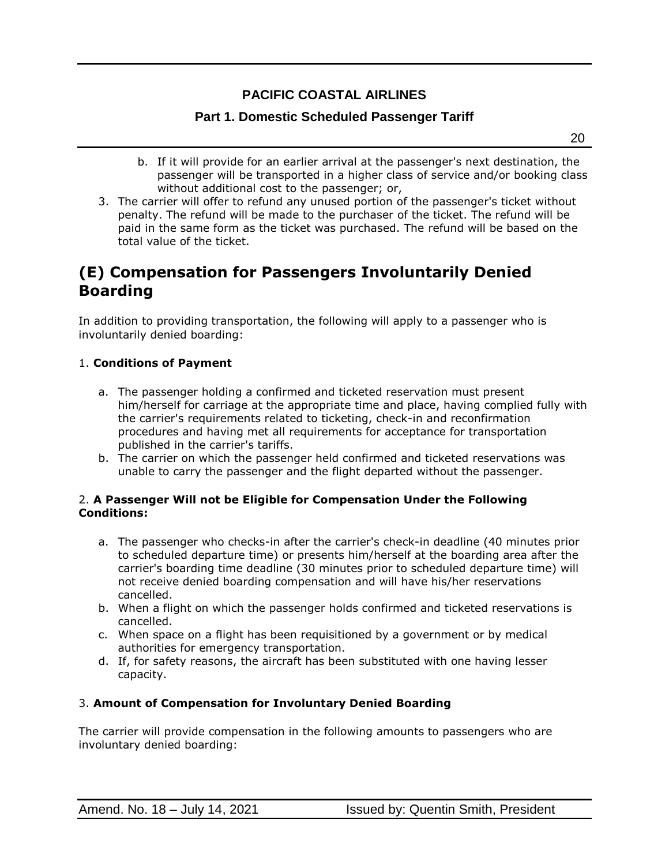#### **Part 1. Domestic Scheduled Passenger Tariff**

- b. If it will provide for an earlier arrival at the passenger's next destination, the passenger will be transported in a higher class of service and/or booking class without additional cost to the passenger; or,
- 3. The carrier will offer to refund any unused portion of the passenger's ticket without penalty. The refund will be made to the purchaser of the ticket. The refund will be paid in the same form as the ticket was purchased. The refund will be based on the total value of the ticket.

## **(E) Compensation for Passengers Involuntarily Denied Boarding**

In addition to providing transportation, the following will apply to a passenger who is involuntarily denied boarding:

#### 1. **Conditions of Payment**

- a. The passenger holding a confirmed and ticketed reservation must present him/herself for carriage at the appropriate time and place, having complied fully with the carrier's requirements related to ticketing, check-in and reconfirmation procedures and having met all requirements for acceptance for transportation published in the carrier's tariffs.
- b. The carrier on which the passenger held confirmed and ticketed reservations was unable to carry the passenger and the flight departed without the passenger.

#### 2. **A Passenger Will not be Eligible for Compensation Under the Following Conditions:**

- a. The passenger who checks-in after the carrier's check-in deadline (40 minutes prior to scheduled departure time) or presents him/herself at the boarding area after the carrier's boarding time deadline (30 minutes prior to scheduled departure time) will not receive denied boarding compensation and will have his/her reservations cancelled.
- b. When a flight on which the passenger holds confirmed and ticketed reservations is cancelled.
- c. When space on a flight has been requisitioned by a government or by medical authorities for emergency transportation.
- d. If, for safety reasons, the aircraft has been substituted with one having lesser capacity.

#### 3. **Amount of Compensation for Involuntary Denied Boarding**

The carrier will provide compensation in the following amounts to passengers who are involuntary denied boarding: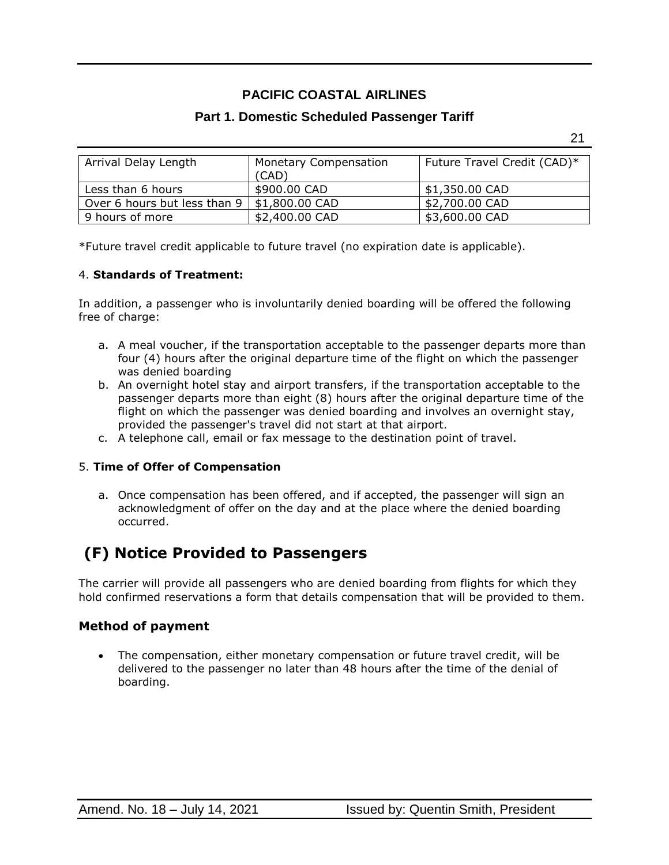#### **Part 1. Domestic Scheduled Passenger Tariff**

21

| Arrival Delay Length         | <b>Monetary Compensation</b> | Future Travel Credit (CAD)* |
|------------------------------|------------------------------|-----------------------------|
|                              | (CAD)                        |                             |
| Less than 6 hours            | \$900.00 CAD                 | \$1,350.00 CAD              |
| Over 6 hours but less than 9 | \$1,800.00 CAD               | \$2,700.00 CAD              |
| 9 hours of more              | \$2,400.00 CAD               | \$3,600.00 CAD              |

\*Future travel credit applicable to future travel (no expiration date is applicable).

#### 4. **Standards of Treatment:**

In addition, a passenger who is involuntarily denied boarding will be offered the following free of charge:

- a. A meal voucher, if the transportation acceptable to the passenger departs more than four (4) hours after the original departure time of the flight on which the passenger was denied boarding
- b. An overnight hotel stay and airport transfers, if the transportation acceptable to the passenger departs more than eight (8) hours after the original departure time of the flight on which the passenger was denied boarding and involves an overnight stay, provided the passenger's travel did not start at that airport.
- c. A telephone call, email or fax message to the destination point of travel.

#### 5. **Time of Offer of Compensation**

a. Once compensation has been offered, and if accepted, the passenger will sign an acknowledgment of offer on the day and at the place where the denied boarding occurred.

# **(F) Notice Provided to Passengers**

The carrier will provide all passengers who are denied boarding from flights for which they hold confirmed reservations a form that details compensation that will be provided to them.

#### **Method of payment**

• The compensation, either monetary compensation or future travel credit, will be delivered to the passenger no later than 48 hours after the time of the denial of boarding.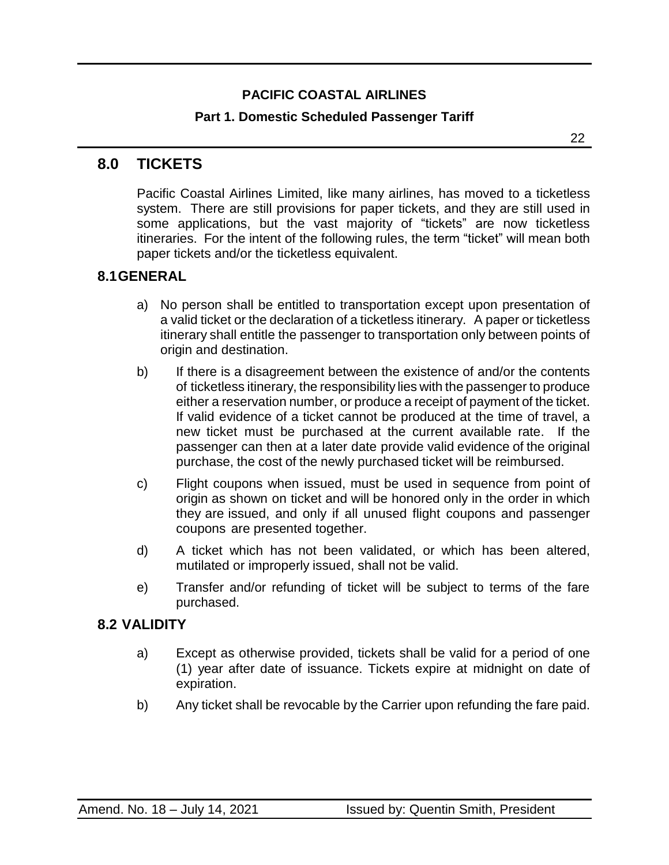### **Part 1. Domestic Scheduled Passenger Tariff**

22

### <span id="page-21-0"></span>**8.0 TICKETS**

Pacific Coastal Airlines Limited, like many airlines, has moved to a ticketless system. There are still provisions for paper tickets, and they are still used in some applications, but the vast majority of "tickets" are now ticketless itineraries. For the intent of the following rules, the term "ticket" will mean both paper tickets and/or the ticketless equivalent.

### <span id="page-21-1"></span>**8.1GENERAL**

- a) No person shall be entitled to transportation except upon presentation of a valid ticket or the declaration of a ticketless itinerary. A paper or ticketless itinerary shall entitle the passenger to transportation only between points of origin and destination.
- b) If there is a disagreement between the existence of and/or the contents of ticketless itinerary, the responsibility lies with the passenger to produce either a reservation number, or produce a receipt of payment of the ticket. If valid evidence of a ticket cannot be produced at the time of travel, a new ticket must be purchased at the current available rate. If the passenger can then at a later date provide valid evidence of the original purchase, the cost of the newly purchased ticket will be reimbursed.
- c) Flight coupons when issued, must be used in sequence from point of origin as shown on ticket and will be honored only in the order in which they are issued, and only if all unused flight coupons and passenger coupons are presented together.
- d) A ticket which has not been validated, or which has been altered, mutilated or improperly issued, shall not be valid.
- e) Transfer and/or refunding of ticket will be subject to terms of the fare purchased.

#### <span id="page-21-2"></span>**8.2 VALIDITY**

- a) Except as otherwise provided, tickets shall be valid for a period of one (1) year after date of issuance. Tickets expire at midnight on date of expiration.
- b) Any ticket shall be revocable by the Carrier upon refunding the fare paid.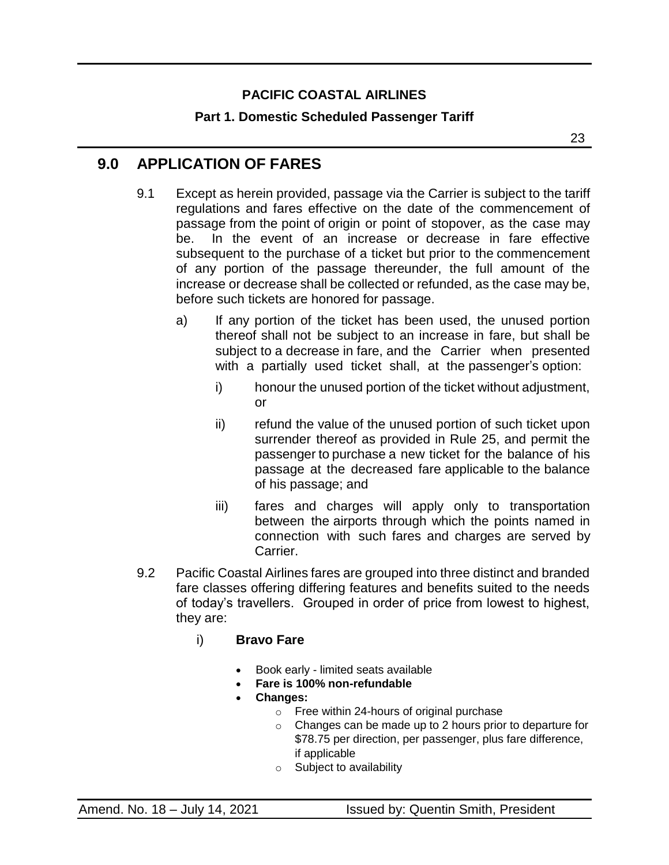### **Part 1. Domestic Scheduled Passenger Tariff**

23

### <span id="page-22-0"></span>**9.0 APPLICATION OF FARES**

- 9.1 Except as herein provided, passage via the Carrier is subject to the tariff regulations and fares effective on the date of the commencement of passage from the point of origin or point of stopover, as the case may be. In the event of an increase or decrease in fare effective subsequent to the purchase of a ticket but prior to the commencement of any portion of the passage thereunder, the full amount of the increase or decrease shall be collected or refunded, as the case may be, before such tickets are honored for passage.
	- a) If any portion of the ticket has been used, the unused portion thereof shall not be subject to an increase in fare, but shall be subject to a decrease in fare, and the Carrier when presented with a partially used ticket shall, at the passenger's option:
		- i) honour the unused portion of the ticket without adjustment, or
		- ii) refund the value of the unused portion of such ticket upon surrender thereof as provided in Rule 25, and permit the passenger to purchase a new ticket for the balance of his passage at the decreased fare applicable to the balance of his passage; and
		- iii) fares and charges will apply only to transportation between the airports through which the points named in connection with such fares and charges are served by Carrier.
- 9.2 Pacific Coastal Airlines fares are grouped into three distinct and branded fare classes offering differing features and benefits suited to the needs of today's travellers. Grouped in order of price from lowest to highest, they are:
	- i) **Bravo Fare**
		- Book early limited seats available
		- **Fare is 100% non-refundable**
		- **Changes:**
			- o Free within 24-hours of original purchase
			- $\circ$  Changes can be made up to 2 hours prior to departure for \$78.75 per direction, per passenger, plus fare difference, if applicable
			- o Subject to availability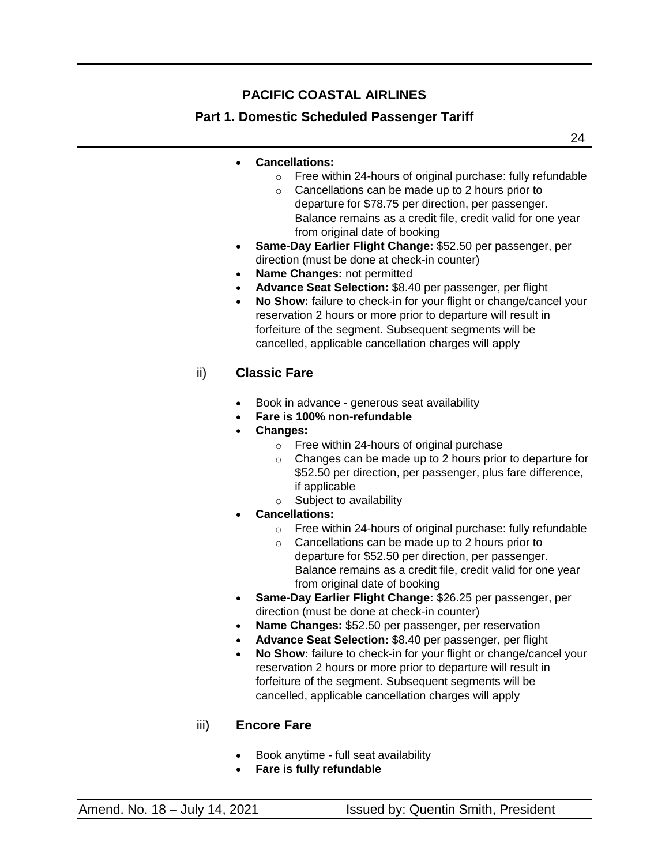### **Part 1. Domestic Scheduled Passenger Tariff**

24

- **Cancellations:**
	- o Free within 24-hours of original purchase: fully refundable
	- $\circ$  Cancellations can be made up to 2 hours prior to departure for \$78.75 per direction, per passenger. Balance remains as a credit file, credit valid for one year from original date of booking
- **Same-Day Earlier Flight Change:** \$52.50 per passenger, per direction (must be done at check-in counter)
- **Name Changes:** not permitted
- **Advance Seat Selection:** \$8.40 per passenger, per flight
- **No Show:** failure to check-in for your flight or change/cancel your reservation 2 hours or more prior to departure will result in forfeiture of the segment. Subsequent segments will be cancelled, applicable cancellation charges will apply

#### ii) **Classic Fare**

- Book in advance generous seat availability
- **Fare is 100% non-refundable**
- **Changes:**
	- o Free within 24-hours of original purchase
	- $\circ$  Changes can be made up to 2 hours prior to departure for \$52.50 per direction, per passenger, plus fare difference, if applicable
	- o Subject to availability
- **Cancellations:**
	- o Free within 24-hours of original purchase: fully refundable
	- $\circ$  Cancellations can be made up to 2 hours prior to departure for \$52.50 per direction, per passenger. Balance remains as a credit file, credit valid for one year from original date of booking
- **Same-Day Earlier Flight Change:** \$26.25 per passenger, per direction (must be done at check-in counter)
- **Name Changes:** \$52.50 per passenger, per reservation
- **Advance Seat Selection:** \$8.40 per passenger, per flight
- **No Show:** failure to check-in for your flight or change/cancel your reservation 2 hours or more prior to departure will result in forfeiture of the segment. Subsequent segments will be cancelled, applicable cancellation charges will apply

#### iii) **Encore Fare**

- Book anytime full seat availability
- **Fare is fully refundable**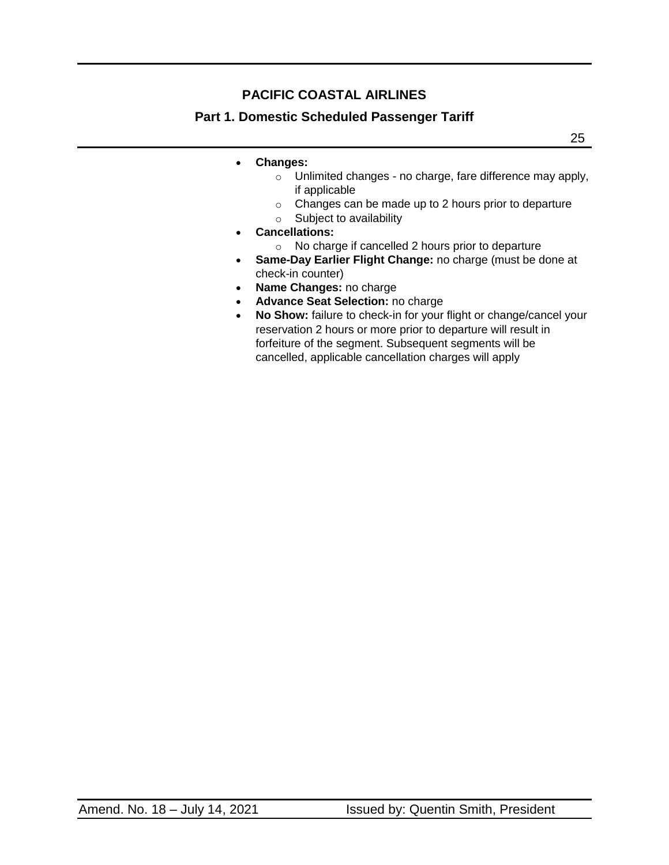### **Part 1. Domestic Scheduled Passenger Tariff**

25

- **Changes:**
	- o Unlimited changes no charge, fare difference may apply, if applicable
	- o Changes can be made up to 2 hours prior to departure
	- o Subject to availability
- **Cancellations:**
	- o No charge if cancelled 2 hours prior to departure
- **Same-Day Earlier Flight Change:** no charge (must be done at check-in counter)
- **Name Changes:** no charge
- **Advance Seat Selection:** no charge
- **No Show:** failure to check-in for your flight or change/cancel your reservation 2 hours or more prior to departure will result in forfeiture of the segment. Subsequent segments will be cancelled, applicable cancellation charges will apply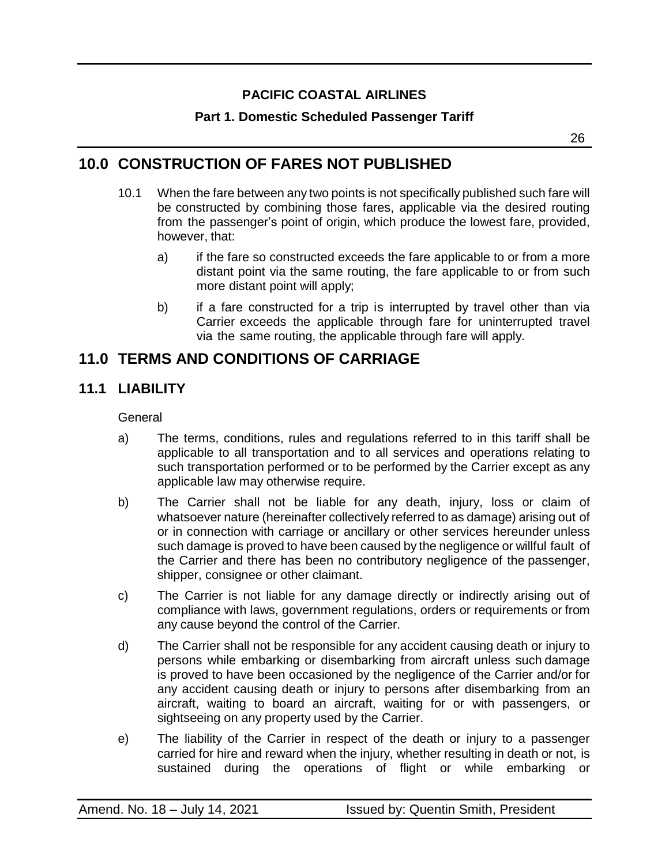### **Part 1. Domestic Scheduled Passenger Tariff**

### <span id="page-25-0"></span>**10.0 CONSTRUCTION OF FARES NOT PUBLISHED**

- 10.1 When the fare between any two points is not specifically published such fare will be constructed by combining those fares, applicable via the desired routing from the passenger's point of origin, which produce the lowest fare, provided, however, that:
	- a) if the fare so constructed exceeds the fare applicable to or from a more distant point via the same routing, the fare applicable to or from such more distant point will apply;
	- b) if a fare constructed for a trip is interrupted by travel other than via Carrier exceeds the applicable through fare for uninterrupted travel via the same routing, the applicable through fare will apply.

### <span id="page-25-1"></span>**11.0 TERMS AND CONDITIONS OF CARRIAGE**

### <span id="page-25-2"></span>**11.1 LIABILITY**

**General** 

- a) The terms, conditions, rules and regulations referred to in this tariff shall be applicable to all transportation and to all services and operations relating to such transportation performed or to be performed by the Carrier except as any applicable law may otherwise require.
- b) The Carrier shall not be liable for any death, injury, loss or claim of whatsoever nature (hereinafter collectively referred to as damage) arising out of or in connection with carriage or ancillary or other services hereunder unless such damage is proved to have been caused by the negligence or willful fault of the Carrier and there has been no contributory negligence of the passenger, shipper, consignee or other claimant.
- c) The Carrier is not liable for any damage directly or indirectly arising out of compliance with laws, government regulations, orders or requirements or from any cause beyond the control of the Carrier.
- d) The Carrier shall not be responsible for any accident causing death or injury to persons while embarking or disembarking from aircraft unless such damage is proved to have been occasioned by the negligence of the Carrier and/or for any accident causing death or injury to persons after disembarking from an aircraft, waiting to board an aircraft, waiting for or with passengers, or sightseeing on any property used by the Carrier.
- e) The liability of the Carrier in respect of the death or injury to a passenger carried for hire and reward when the injury, whether resulting in death or not, is sustained during the operations of flight or while embarking or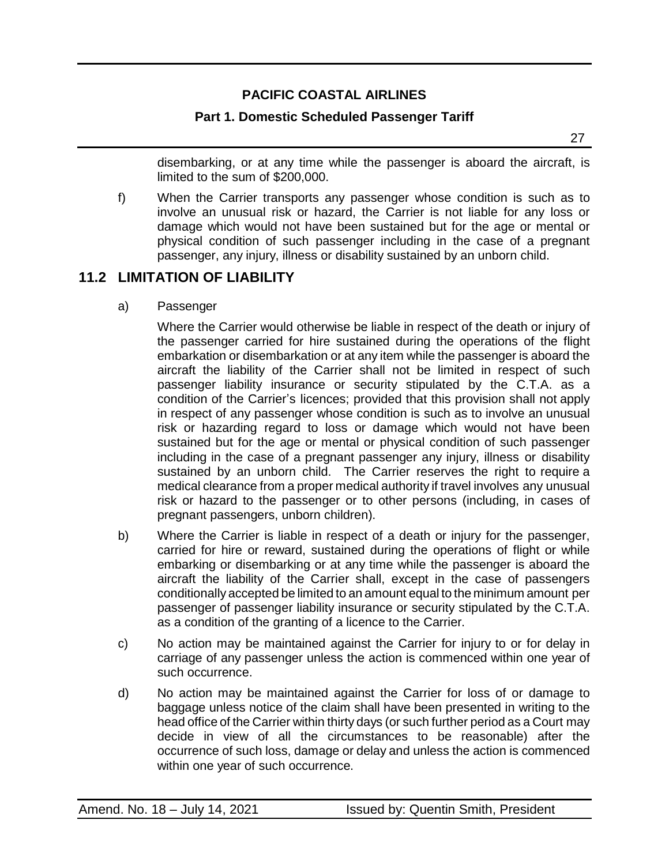#### **Part 1. Domestic Scheduled Passenger Tariff**

disembarking, or at any time while the passenger is aboard the aircraft, is limited to the sum of \$200,000.

f) When the Carrier transports any passenger whose condition is such as to involve an unusual risk or hazard, the Carrier is not liable for any loss or damage which would not have been sustained but for the age or mental or physical condition of such passenger including in the case of a pregnant passenger, any injury, illness or disability sustained by an unborn child.

### <span id="page-26-0"></span>**11.2 LIMITATION OF LIABILITY**

a) Passenger

Where the Carrier would otherwise be liable in respect of the death or injury of the passenger carried for hire sustained during the operations of the flight embarkation or disembarkation or at any item while the passenger is aboard the aircraft the liability of the Carrier shall not be limited in respect of such passenger liability insurance or security stipulated by the C.T.A. as a condition of the Carrier's licences; provided that this provision shall not apply in respect of any passenger whose condition is such as to involve an unusual risk or hazarding regard to loss or damage which would not have been sustained but for the age or mental or physical condition of such passenger including in the case of a pregnant passenger any injury, illness or disability sustained by an unborn child. The Carrier reserves the right to require a medical clearance from a proper medical authority if travel involves any unusual risk or hazard to the passenger or to other persons (including, in cases of pregnant passengers, unborn children).

- b) Where the Carrier is liable in respect of a death or injury for the passenger, carried for hire or reward, sustained during the operations of flight or while embarking or disembarking or at any time while the passenger is aboard the aircraft the liability of the Carrier shall, except in the case of passengers conditionally accepted be limited to an amount equal to the minimum amount per passenger of passenger liability insurance or security stipulated by the C.T.A. as a condition of the granting of a licence to the Carrier.
- c) No action may be maintained against the Carrier for injury to or for delay in carriage of any passenger unless the action is commenced within one year of such occurrence.
- d) No action may be maintained against the Carrier for loss of or damage to baggage unless notice of the claim shall have been presented in writing to the head office of the Carrier within thirty days (or such further period as a Court may decide in view of all the circumstances to be reasonable) after the occurrence of such loss, damage or delay and unless the action is commenced within one year of such occurrence.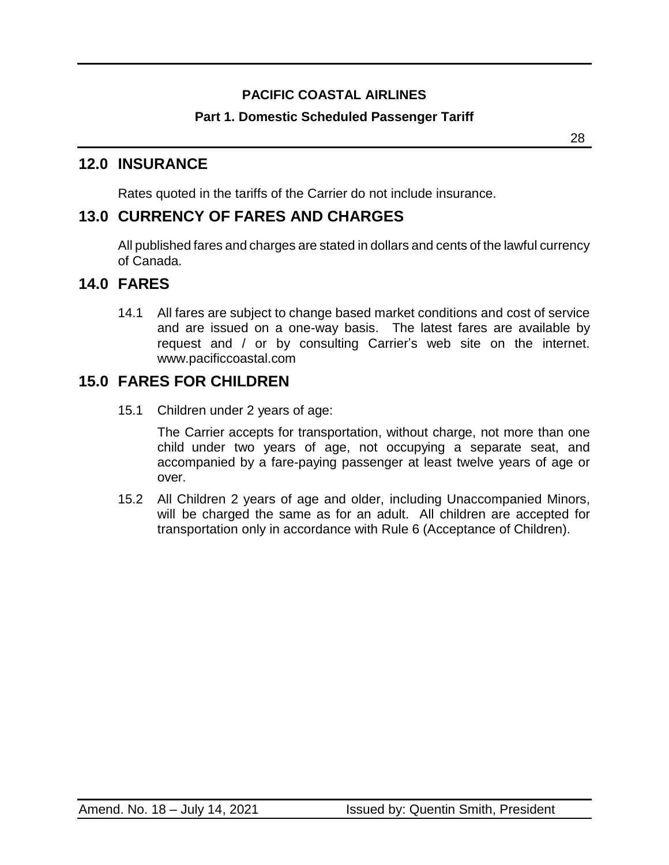### **Part 1. Domestic Scheduled Passenger Tariff**

### <span id="page-27-0"></span>**12.0 INSURANCE**

Rates quoted in the tariffs of the Carrier do not include insurance.

## <span id="page-27-1"></span>**13.0 CURRENCY OF FARES AND CHARGES**

All published fares and charges are stated in dollars and cents of the lawful currency of Canada.

### <span id="page-27-2"></span>**14.0 FARES**

14.1 All fares are subject to change based market conditions and cost of service and are issued on a one-way basis. The latest fares are available by request and / or by consulting Carrier's web site on the internet. www.pacificcoastal.com

### <span id="page-27-3"></span>**15.0 FARES FOR CHILDREN**

15.1 Children under 2 years of age:

The Carrier accepts for transportation, without charge, not more than one child under two years of age, not occupying a separate seat, and accompanied by a fare-paying passenger at least twelve years of age or over.

15.2 All Children 2 years of age and older, including Unaccompanied Minors, will be charged the same as for an adult. All children are accepted for transportation only in accordance with Rule 6 (Acceptance of Children).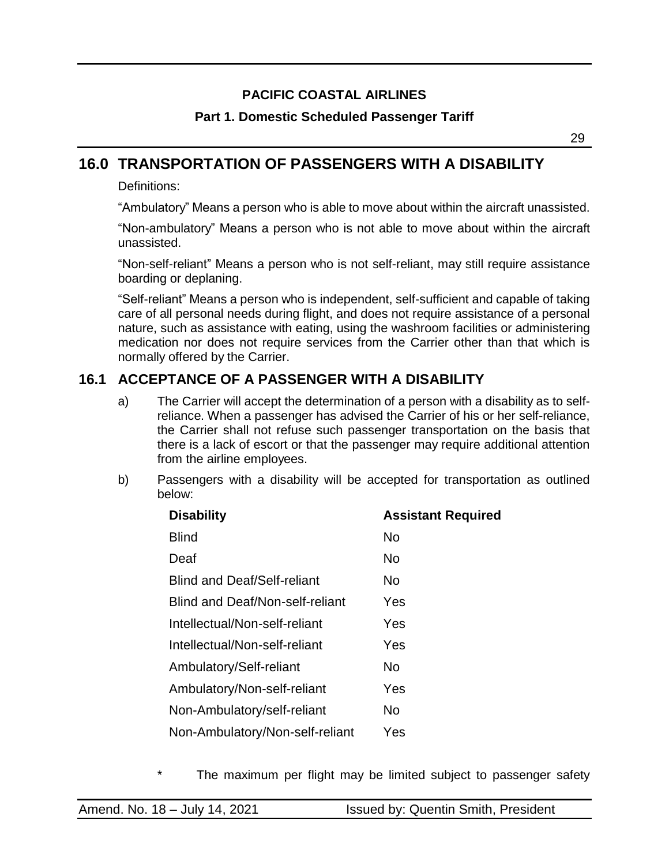### **Part 1. Domestic Scheduled Passenger Tariff**

29

## <span id="page-28-0"></span>**16.0 TRANSPORTATION OF PASSENGERS WITH A DISABILITY**

Definitions:

"Ambulatory" Means a person who is able to move about within the aircraft unassisted.

"Non-ambulatory" Means a person who is not able to move about within the aircraft unassisted.

"Non-self-reliant" Means a person who is not self-reliant, may still require assistance boarding or deplaning.

"Self-reliant" Means a person who is independent, self-sufficient and capable of taking care of all personal needs during flight, and does not require assistance of a personal nature, such as assistance with eating, using the washroom facilities or administering medication nor does not require services from the Carrier other than that which is normally offered by the Carrier.

### <span id="page-28-1"></span>**16.1 ACCEPTANCE OF A PASSENGER WITH A DISABILITY**

- a) The Carrier will accept the determination of a person with a disability as to selfreliance. When a passenger has advised the Carrier of his or her self-reliance, the Carrier shall not refuse such passenger transportation on the basis that there is a lack of escort or that the passenger may require additional attention from the airline employees.
- b) Passengers with a disability will be accepted for transportation as outlined below:

| <b>Assistant Required</b> |
|---------------------------|
| <b>No</b>                 |
| N <sub>o</sub>            |
| No.                       |
| Yes                       |
| Yes                       |
| Yes                       |
| No.                       |
| Yes                       |
| No.                       |
| Yes                       |
|                           |

The maximum per flight may be limited subject to passenger safety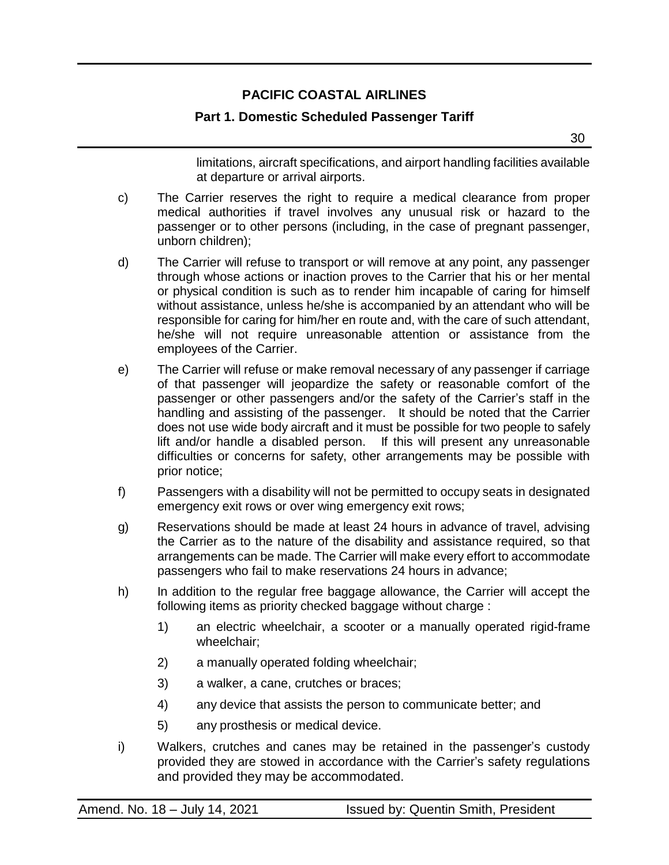#### **Part 1. Domestic Scheduled Passenger Tariff**

limitations, aircraft specifications, and airport handling facilities available at departure or arrival airports.

- c) The Carrier reserves the right to require a medical clearance from proper medical authorities if travel involves any unusual risk or hazard to the passenger or to other persons (including, in the case of pregnant passenger, unborn children);
- d) The Carrier will refuse to transport or will remove at any point, any passenger through whose actions or inaction proves to the Carrier that his or her mental or physical condition is such as to render him incapable of caring for himself without assistance, unless he/she is accompanied by an attendant who will be responsible for caring for him/her en route and, with the care of such attendant, he/she will not require unreasonable attention or assistance from the employees of the Carrier.
- e) The Carrier will refuse or make removal necessary of any passenger if carriage of that passenger will jeopardize the safety or reasonable comfort of the passenger or other passengers and/or the safety of the Carrier's staff in the handling and assisting of the passenger. It should be noted that the Carrier does not use wide body aircraft and it must be possible for two people to safely lift and/or handle a disabled person. If this will present any unreasonable difficulties or concerns for safety, other arrangements may be possible with prior notice;
- f) Passengers with a disability will not be permitted to occupy seats in designated emergency exit rows or over wing emergency exit rows;
- g) Reservations should be made at least 24 hours in advance of travel, advising the Carrier as to the nature of the disability and assistance required, so that arrangements can be made. The Carrier will make every effort to accommodate passengers who fail to make reservations 24 hours in advance;
- h) In addition to the regular free baggage allowance, the Carrier will accept the following items as priority checked baggage without charge :
	- 1) an electric wheelchair, a scooter or a manually operated rigid-frame wheelchair;
	- 2) a manually operated folding wheelchair;
	- 3) a walker, a cane, crutches or braces;
	- 4) any device that assists the person to communicate better; and
	- 5) any prosthesis or medical device.
- i) Walkers, crutches and canes may be retained in the passenger's custody provided they are stowed in accordance with the Carrier's safety regulations and provided they may be accommodated.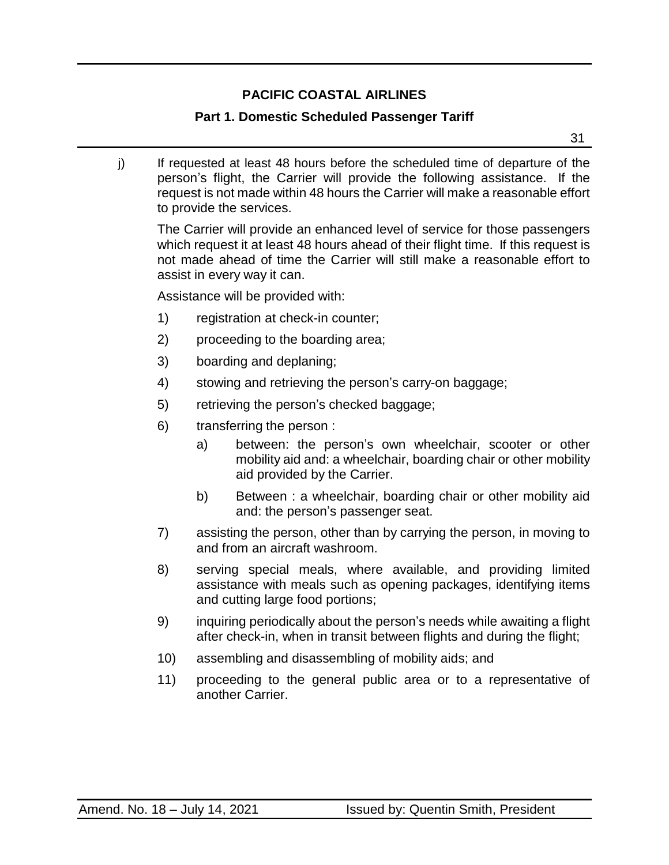### **Part 1. Domestic Scheduled Passenger Tariff**

31

j) If requested at least 48 hours before the scheduled time of departure of the person's flight, the Carrier will provide the following assistance. If the request is not made within 48 hours the Carrier will make a reasonable effort to provide the services.

The Carrier will provide an enhanced level of service for those passengers which request it at least 48 hours ahead of their flight time. If this request is not made ahead of time the Carrier will still make a reasonable effort to assist in every way it can.

Assistance will be provided with:

- 1) registration at check-in counter;
- 2) proceeding to the boarding area;
- 3) boarding and deplaning;
- 4) stowing and retrieving the person's carry-on baggage;
- 5) retrieving the person's checked baggage;
- 6) transferring the person :
	- a) between: the person's own wheelchair, scooter or other mobility aid and: a wheelchair, boarding chair or other mobility aid provided by the Carrier.
	- b) Between : a wheelchair, boarding chair or other mobility aid and: the person's passenger seat.
- 7) assisting the person, other than by carrying the person, in moving to and from an aircraft washroom.
- 8) serving special meals, where available, and providing limited assistance with meals such as opening packages, identifying items and cutting large food portions;
- 9) inquiring periodically about the person's needs while awaiting a flight after check-in, when in transit between flights and during the flight;
- 10) assembling and disassembling of mobility aids; and
- 11) proceeding to the general public area or to a representative of another Carrier.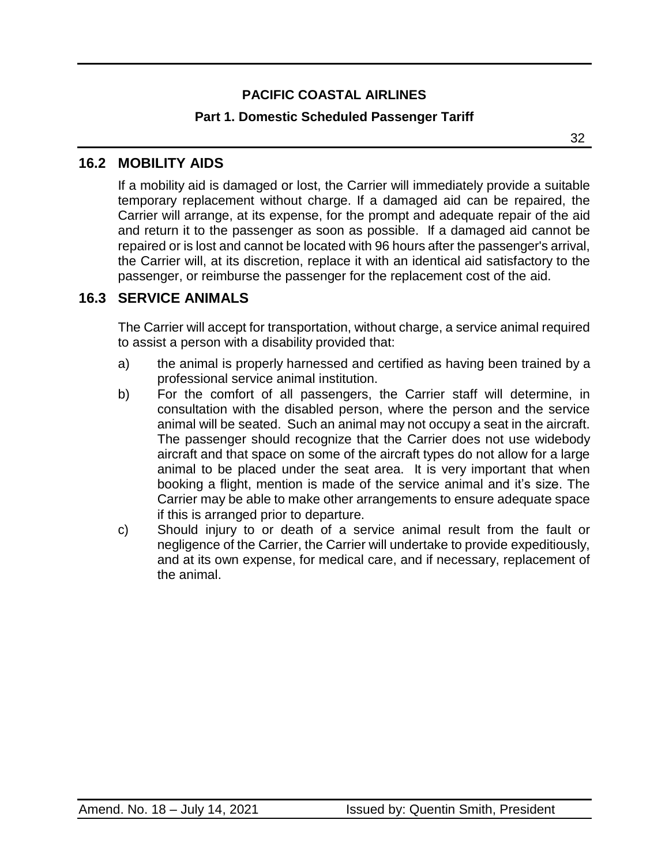#### **Part 1. Domestic Scheduled Passenger Tariff**

32

### <span id="page-31-0"></span>**16.2 MOBILITY AIDS**

If a mobility aid is damaged or lost, the Carrier will immediately provide a suitable temporary replacement without charge. If a damaged aid can be repaired, the Carrier will arrange, at its expense, for the prompt and adequate repair of the aid and return it to the passenger as soon as possible. If a damaged aid cannot be repaired or is lost and cannot be located with 96 hours after the passenger's arrival, the Carrier will, at its discretion, replace it with an identical aid satisfactory to the passenger, or reimburse the passenger for the replacement cost of the aid.

### <span id="page-31-1"></span>**16.3 SERVICE ANIMALS**

The Carrier will accept for transportation, without charge, a service animal required to assist a person with a disability provided that:

- a) the animal is properly harnessed and certified as having been trained by a professional service animal institution.
- b) For the comfort of all passengers, the Carrier staff will determine, in consultation with the disabled person, where the person and the service animal will be seated. Such an animal may not occupy a seat in the aircraft. The passenger should recognize that the Carrier does not use widebody aircraft and that space on some of the aircraft types do not allow for a large animal to be placed under the seat area. It is very important that when booking a flight, mention is made of the service animal and it's size. The Carrier may be able to make other arrangements to ensure adequate space if this is arranged prior to departure.
- c) Should injury to or death of a service animal result from the fault or negligence of the Carrier, the Carrier will undertake to provide expeditiously, and at its own expense, for medical care, and if necessary, replacement of the animal.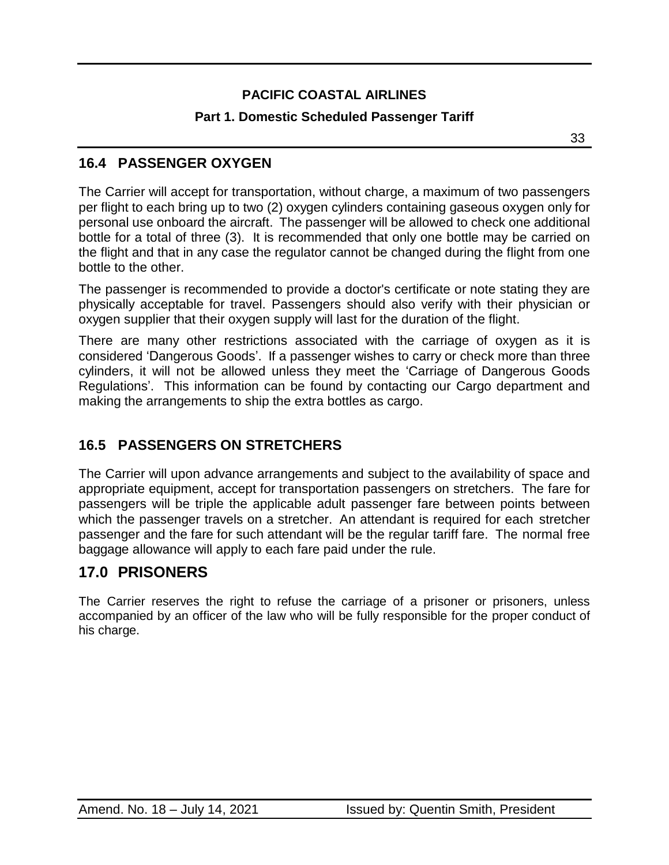### **Part 1. Domestic Scheduled Passenger Tariff**

<u>33 and 2010 and 2010 and 2010 and 2010 and 2010 and 2010 and 2010 and 2010 and 2010 and 2010 and 2010 and 20</u>

### <span id="page-32-0"></span>**16.4 PASSENGER OXYGEN**

The Carrier will accept for transportation, without charge, a maximum of two passengers per flight to each bring up to two (2) oxygen cylinders containing gaseous oxygen only for personal use onboard the aircraft. The passenger will be allowed to check one additional bottle for a total of three (3). It is recommended that only one bottle may be carried on the flight and that in any case the regulator cannot be changed during the flight from one bottle to the other.

The passenger is recommended to provide a doctor's certificate or note stating they are physically acceptable for travel. Passengers should also verify with their physician or oxygen supplier that their oxygen supply will last for the duration of the flight.

There are many other restrictions associated with the carriage of oxygen as it is considered 'Dangerous Goods'. If a passenger wishes to carry or check more than three cylinders, it will not be allowed unless they meet the 'Carriage of Dangerous Goods Regulations'. This information can be found by contacting our Cargo department and making the arrangements to ship the extra bottles as cargo.

### <span id="page-32-1"></span>**16.5 PASSENGERS ON STRETCHERS**

The Carrier will upon advance arrangements and subject to the availability of space and appropriate equipment, accept for transportation passengers on stretchers. The fare for passengers will be triple the applicable adult passenger fare between points between which the passenger travels on a stretcher. An attendant is required for each stretcher passenger and the fare for such attendant will be the regular tariff fare. The normal free baggage allowance will apply to each fare paid under the rule.

## <span id="page-32-2"></span>**17.0 PRISONERS**

The Carrier reserves the right to refuse the carriage of a prisoner or prisoners, unless accompanied by an officer of the law who will be fully responsible for the proper conduct of his charge.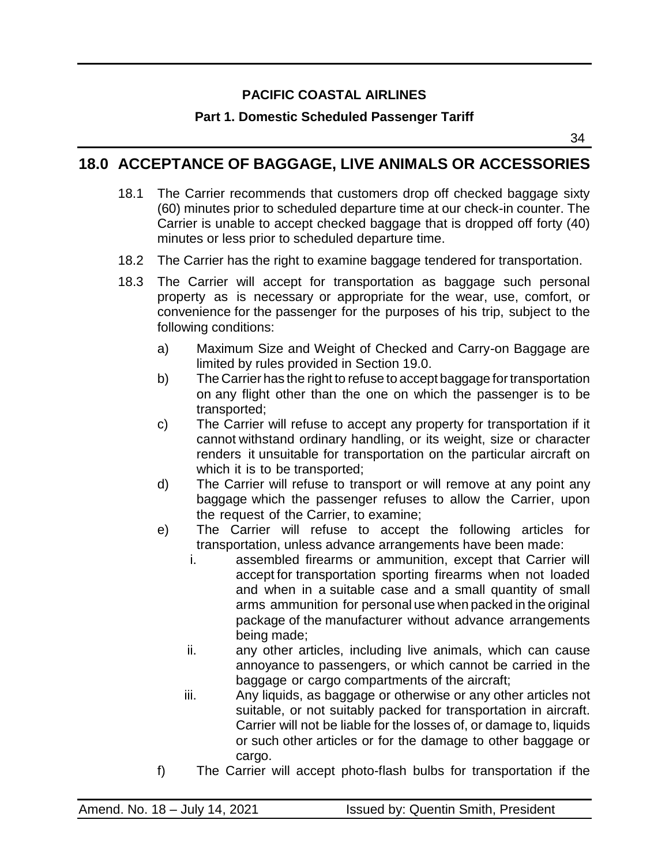#### **Part 1. Domestic Scheduled Passenger Tariff**

34

### <span id="page-33-0"></span>**18.0 ACCEPTANCE OF BAGGAGE, LIVE ANIMALS OR ACCESSORIES**

- 18.1 The Carrier recommends that customers drop off checked baggage sixty (60) minutes prior to scheduled departure time at our check-in counter. The Carrier is unable to accept checked baggage that is dropped off forty (40) minutes or less prior to scheduled departure time.
- 18.2 The Carrier has the right to examine baggage tendered for transportation.
- 18.3 The Carrier will accept for transportation as baggage such personal property as is necessary or appropriate for the wear, use, comfort, or convenience for the passenger for the purposes of his trip, subject to the following conditions:
	- a) Maximum Size and Weight of Checked and Carry-on Baggage are limited by rules provided in Section 19.0.
	- b) The Carrier has the right to refuse to accept baggage for transportation on any flight other than the one on which the passenger is to be transported;
	- c) The Carrier will refuse to accept any property for transportation if it cannot withstand ordinary handling, or its weight, size or character renders it unsuitable for transportation on the particular aircraft on which it is to be transported;
	- d) The Carrier will refuse to transport or will remove at any point any baggage which the passenger refuses to allow the Carrier, upon the request of the Carrier, to examine;
	- e) The Carrier will refuse to accept the following articles for transportation, unless advance arrangements have been made:
		- i. assembled firearms or ammunition, except that Carrier will accept for transportation sporting firearms when not loaded and when in a suitable case and a small quantity of small arms ammunition for personal use when packed in the original package of the manufacturer without advance arrangements being made;
		- ii. any other articles, including live animals, which can cause annoyance to passengers, or which cannot be carried in the baggage or cargo compartments of the aircraft;
		- iii. Any liquids, as baggage or otherwise or any other articles not suitable, or not suitably packed for transportation in aircraft. Carrier will not be liable for the losses of, or damage to, liquids or such other articles or for the damage to other baggage or cargo.
	- f) The Carrier will accept photo-flash bulbs for transportation if the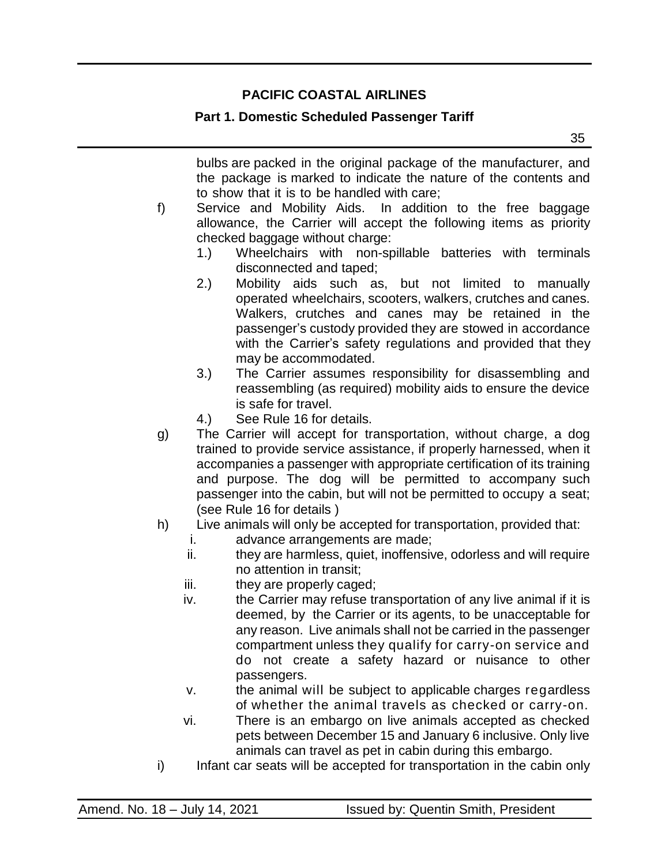#### **Part 1. Domestic Scheduled Passenger Tariff**

<u>35 September 2005 September 2005 September 2005 September 2005 September 2005 September 2005 September 2005 S</u> bulbs are packed in the original package of the manufacturer, and the package is marked to indicate the nature of the contents and to show that it is to be handled with care; f) Service and Mobility Aids. In addition to the free baggage allowance, the Carrier will accept the following items as priority checked baggage without charge: 1.) Wheelchairs with non-spillable batteries with terminals disconnected and taped; 2.) Mobility aids such as, but not limited to manually operated wheelchairs, scooters, walkers, crutches and canes. Walkers, crutches and canes may be retained in the passenger's custody provided they are stowed in accordance with the Carrier's safety regulations and provided that they may be accommodated. 3.) The Carrier assumes responsibility for disassembling and reassembling (as required) mobility aids to ensure the device is safe for travel. 4.) See Rule 16 for details. g) The Carrier will accept for transportation, without charge, a dog trained to provide service assistance, if properly harnessed, when it accompanies a passenger with appropriate certification of its training and purpose. The dog will be permitted to accompany such

- (see Rule 16 for details ) h) Live animals will only be accepted for transportation, provided that:
	- i. advance arrangements are made;
	- ii. they are harmless, quiet, inoffensive, odorless and will require no attention in transit;

passenger into the cabin, but will not be permitted to occupy a seat;

- iii. they are properly caged;
- iv. the Carrier may refuse transportation of any live animal if it is deemed, by the Carrier or its agents, to be unacceptable for any reason. Live animals shall not be carried in the passenger compartment unless they qualify for carry-on service and do not create a safety hazard or nuisance to other passengers.
- v. the animal will be subject to applicable charges regardless of whether the animal travels as checked or carry-on.
- vi. There is an embargo on live animals accepted as checked pets between December 15 and January 6 inclusive. Only live animals can travel as pet in cabin during this embargo.
- i) Infant car seats will be accepted for transportation in the cabin only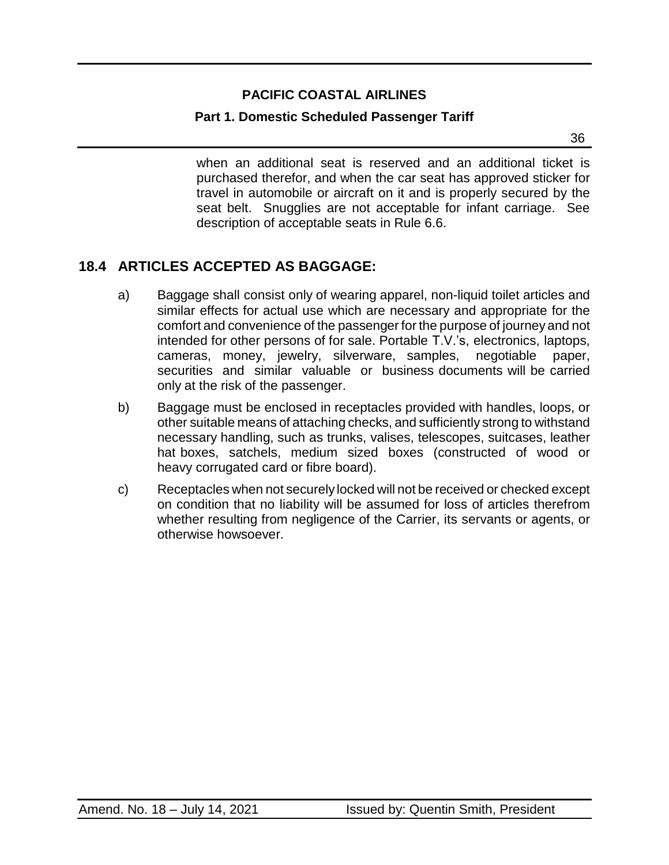#### **Part 1. Domestic Scheduled Passenger Tariff**

а в село во село во село во село во село во село во село во село во село во село во село во село во село во се<br>Во село во село во село во село во село во село во село во село во село во село во село во село во село во сел

when an additional seat is reserved and an additional ticket is purchased therefor, and when the car seat has approved sticker for travel in automobile or aircraft on it and is properly secured by the seat belt. Snugglies are not acceptable for infant carriage. See description of acceptable seats in Rule 6.6.

### <span id="page-35-0"></span>**18.4 ARTICLES ACCEPTED AS BAGGAGE:**

- a) Baggage shall consist only of wearing apparel, non-liquid toilet articles and similar effects for actual use which are necessary and appropriate for the comfort and convenience of the passenger for the purpose of journey and not intended for other persons of for sale. Portable T.V.'s, electronics, laptops, cameras, money, jewelry, silverware, samples, negotiable paper, securities and similar valuable or business documents will be carried only at the risk of the passenger.
- b) Baggage must be enclosed in receptacles provided with handles, loops, or other suitable means of attaching checks, and sufficiently strong to withstand necessary handling, such as trunks, valises, telescopes, suitcases, leather hat boxes, satchels, medium sized boxes (constructed of wood or heavy corrugated card or fibre board).
- c) Receptacles when not securely locked will not be received or checked except on condition that no liability will be assumed for loss of articles therefrom whether resulting from negligence of the Carrier, its servants or agents, or otherwise howsoever.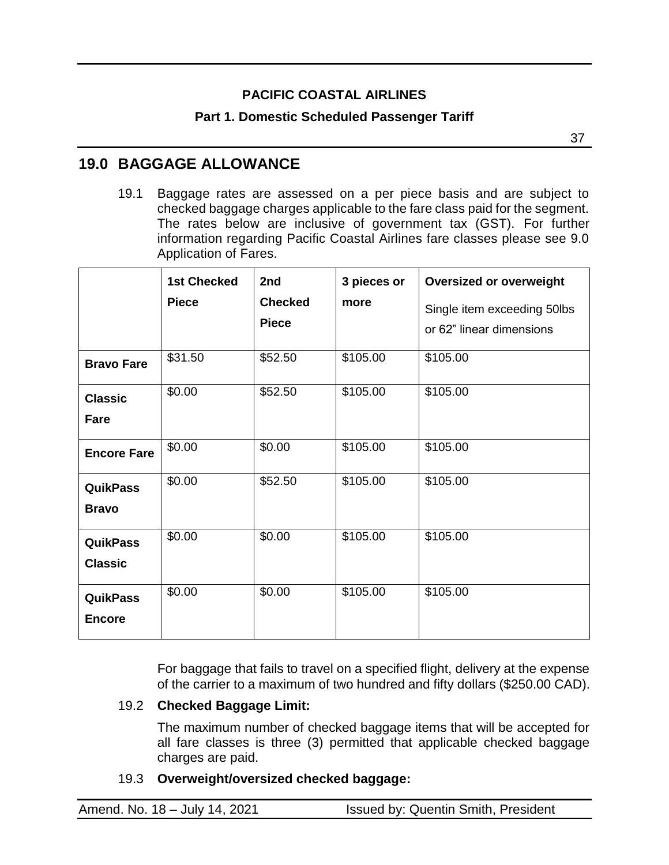#### **Part 1. Domestic Scheduled Passenger Tariff**

37

### <span id="page-36-0"></span>**19.0 BAGGAGE ALLOWANCE**

19.1 Baggage rates are assessed on a per piece basis and are subject to checked baggage charges applicable to the fare class paid for the segment. The rates below are inclusive of government tax (GST). For further information regarding Pacific Coastal Airlines fare classes please see 9.0 Application of Fares.

|                                   | <b>1st Checked</b><br><b>Piece</b> | 2nd<br><b>Checked</b><br><b>Piece</b> | 3 pieces or<br>more | <b>Oversized or overweight</b><br>Single item exceeding 50lbs<br>or 62" linear dimensions |
|-----------------------------------|------------------------------------|---------------------------------------|---------------------|-------------------------------------------------------------------------------------------|
| <b>Bravo Fare</b>                 | \$31.50                            | \$52.50                               | \$105.00            | \$105.00                                                                                  |
| <b>Classic</b><br>Fare            | \$0.00                             | \$52.50                               | \$105.00            | \$105.00                                                                                  |
| <b>Encore Fare</b>                | \$0.00                             | \$0.00                                | \$105.00            | \$105.00                                                                                  |
| <b>QuikPass</b><br><b>Bravo</b>   | \$0.00                             | \$52.50                               | \$105.00            | \$105.00                                                                                  |
| <b>QuikPass</b><br><b>Classic</b> | \$0.00                             | \$0.00                                | \$105.00            | \$105.00                                                                                  |
| <b>QuikPass</b><br><b>Encore</b>  | \$0.00                             | \$0.00                                | \$105.00            | \$105.00                                                                                  |

For baggage that fails to travel on a specified flight, delivery at the expense of the carrier to a maximum of two hundred and fifty dollars (\$250.00 CAD).

#### 19.2 **Checked Baggage Limit:**

The maximum number of checked baggage items that will be accepted for all fare classes is three (3) permitted that applicable checked baggage charges are paid.

#### 19.3 **Overweight/oversized checked baggage:**

| Amend. No. 18 - July 14, 2021 | <b>Issued by: Quentin Smith, President</b> |
|-------------------------------|--------------------------------------------|
|                               |                                            |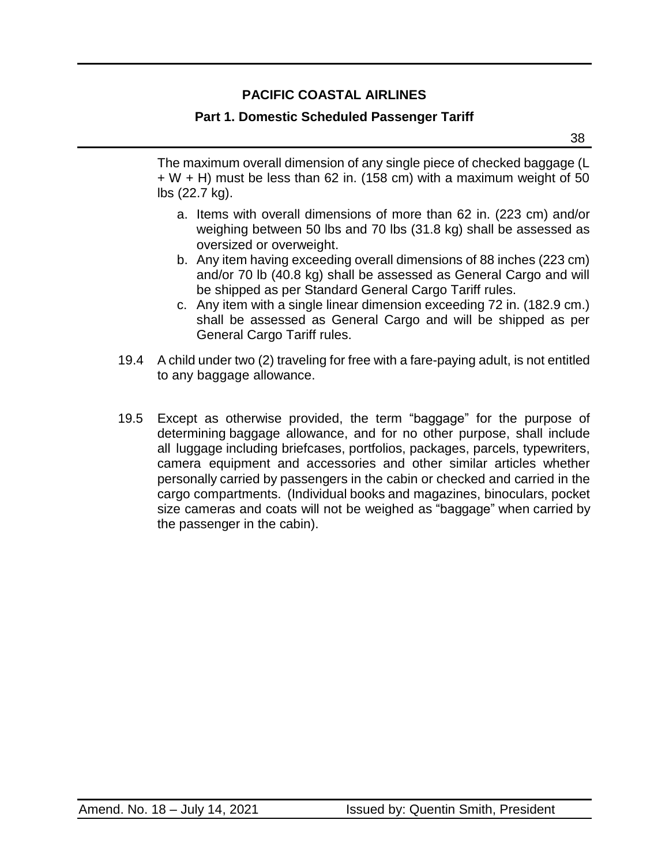### **Part 1. Domestic Scheduled Passenger Tariff**

The maximum overall dimension of any single piece of checked baggage (L  $+ W + H$ ) must be less than 62 in. (158 cm) with a maximum weight of 50 lbs (22.7 kg).

- a. Items with overall dimensions of more than 62 in. (223 cm) and/or weighing between 50 lbs and 70 lbs (31.8 kg) shall be assessed as oversized or overweight.
- b. Any item having exceeding overall dimensions of 88 inches (223 cm) and/or 70 lb (40.8 kg) shall be assessed as General Cargo and will be shipped as per Standard General Cargo Tariff rules.
- c. Any item with a single linear dimension exceeding 72 in. (182.9 cm.) shall be assessed as General Cargo and will be shipped as per General Cargo Tariff rules.
- 19.4 A child under two (2) traveling for free with a fare-paying adult, is not entitled to any baggage allowance.
- 19.5 Except as otherwise provided, the term "baggage" for the purpose of determining baggage allowance, and for no other purpose, shall include all luggage including briefcases, portfolios, packages, parcels, typewriters, camera equipment and accessories and other similar articles whether personally carried by passengers in the cabin or checked and carried in the cargo compartments. (Individual books and magazines, binoculars, pocket size cameras and coats will not be weighed as "baggage" when carried by the passenger in the cabin).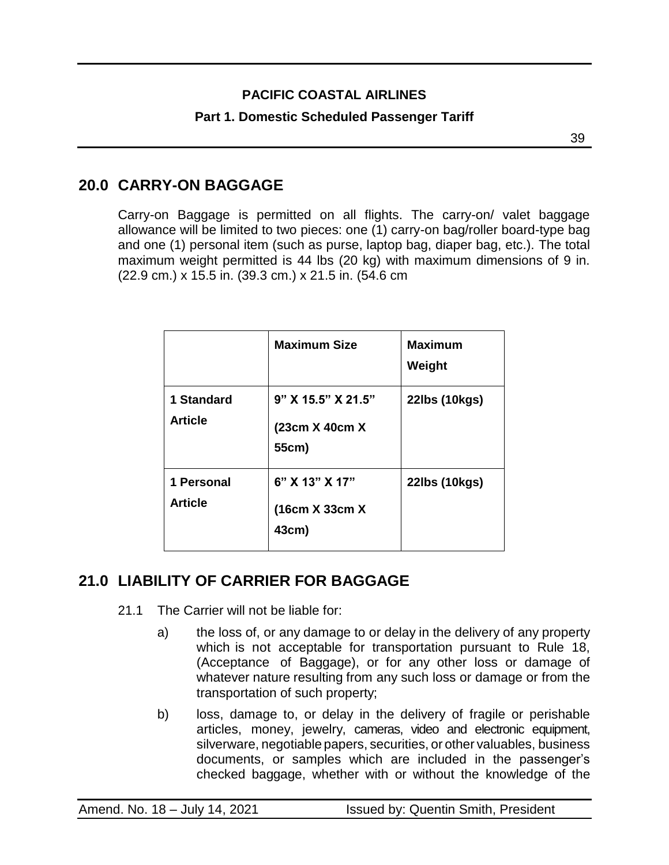### **Part 1. Domestic Scheduled Passenger Tariff**

а в селото на селото на селото на 1939 година в 1939 година в 1939 година в 1939 година в 1939 година в 1930 г<br>В 1930 година в 1930 година в 1930 година в 1930 година в 1930 година в 1930 година в 1930 година в 1930 годин

## <span id="page-38-0"></span>**20.0 CARRY-ON BAGGAGE**

Carry-on Baggage is permitted on all flights. The carry-on/ valet baggage allowance will be limited to two pieces: one (1) carry-on bag/roller board-type bag and one (1) personal item (such as purse, laptop bag, diaper bag, etc.). The total maximum weight permitted is 44 lbs (20 kg) with maximum dimensions of 9 in. (22.9 cm.) x 15.5 in. (39.3 cm.) x 21.5 in. (54.6 cm

|                              | <b>Maximum Size</b>                           | <b>Maximum</b><br>Weight |
|------------------------------|-----------------------------------------------|--------------------------|
| 1 Standard<br><b>Article</b> | 9" X 15.5" X 21.5"<br>(23cm X 40cm X<br>55cm) | 22lbs (10kgs)            |
| 1 Personal<br><b>Article</b> | $6"$ X 13" X 17"<br>(16cm X 33cm X<br>43cm)   | 22lbs (10kgs)            |

# <span id="page-38-1"></span>**21.0 LIABILITY OF CARRIER FOR BAGGAGE**

- 21.1 The Carrier will not be liable for:
	- a) the loss of, or any damage to or delay in the delivery of any property which is not acceptable for transportation pursuant to Rule 18, (Acceptance of Baggage), or for any other loss or damage of whatever nature resulting from any such loss or damage or from the transportation of such property;
	- b) loss, damage to, or delay in the delivery of fragile or perishable articles, money, jewelry, cameras, video and electronic equipment, silverware, negotiable papers, securities, or other valuables, business documents, or samples which are included in the passenger's checked baggage, whether with or without the knowledge of the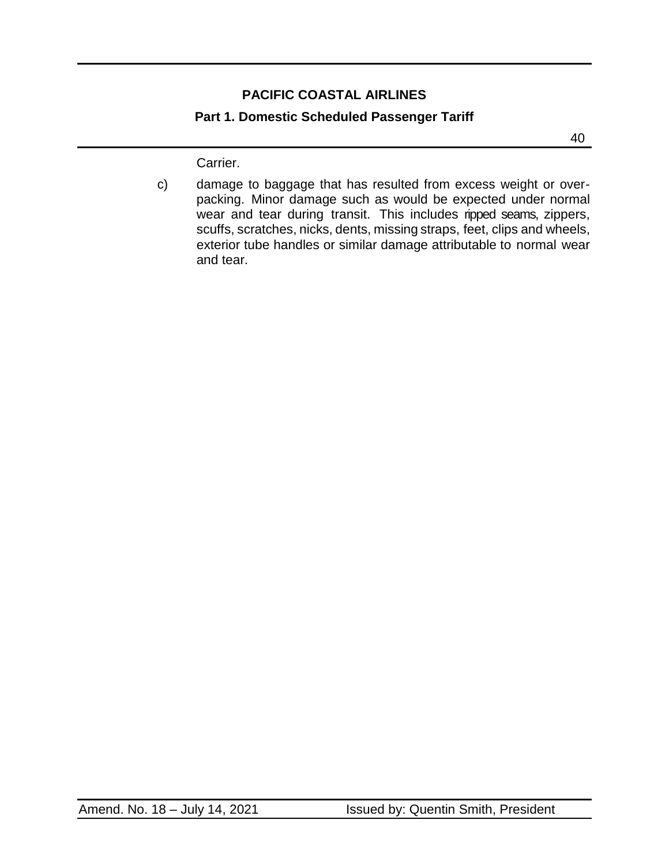#### **Part 1. Domestic Scheduled Passenger Tariff**

40

Carrier.

c) damage to baggage that has resulted from excess weight or overpacking. Minor damage such as would be expected under normal wear and tear during transit. This includes ripped seams, zippers, scuffs, scratches, nicks, dents, missing straps, feet, clips and wheels, exterior tube handles or similar damage attributable to normal wear and tear.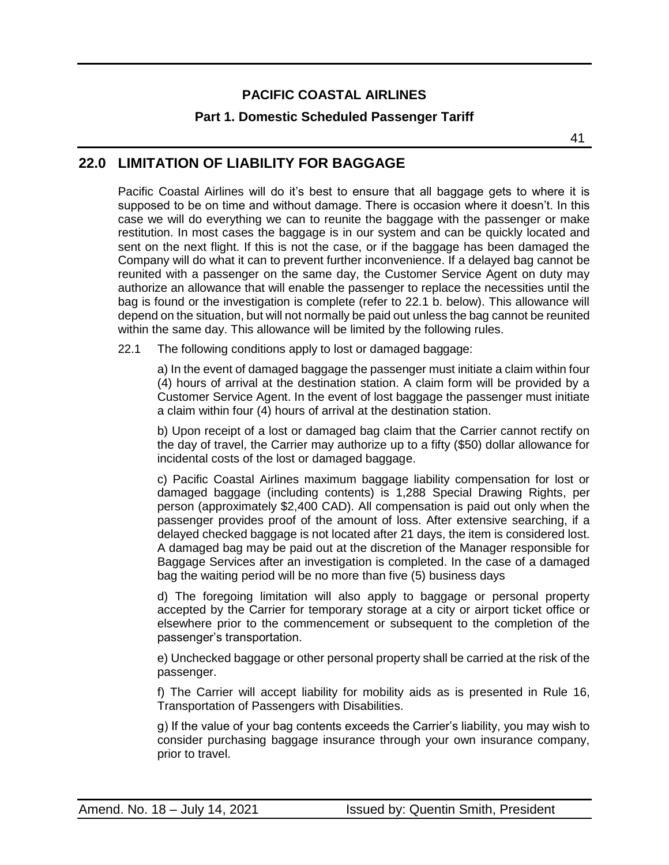#### **Part 1. Domestic Scheduled Passenger Tariff**

### <span id="page-40-0"></span>**22.0 LIMITATION OF LIABILITY FOR BAGGAGE**

Pacific Coastal Airlines will do it's best to ensure that all baggage gets to where it is supposed to be on time and without damage. There is occasion where it doesn't. In this case we will do everything we can to reunite the baggage with the passenger or make restitution. In most cases the baggage is in our system and can be quickly located and sent on the next flight. If this is not the case, or if the baggage has been damaged the Company will do what it can to prevent further inconvenience. If a delayed bag cannot be reunited with a passenger on the same day, the Customer Service Agent on duty may authorize an allowance that will enable the passenger to replace the necessities until the bag is found or the investigation is complete (refer to 22.1 b. below). This allowance will depend on the situation, but will not normally be paid out unless the bag cannot be reunited within the same day. This allowance will be limited by the following rules.

22.1 The following conditions apply to lost or damaged baggage:

a) In the event of damaged baggage the passenger must initiate a claim within four (4) hours of arrival at the destination station. A claim form will be provided by a Customer Service Agent. In the event of lost baggage the passenger must initiate a claim within four (4) hours of arrival at the destination station.

b) Upon receipt of a lost or damaged bag claim that the Carrier cannot rectify on the day of travel, the Carrier may authorize up to a fifty (\$50) dollar allowance for incidental costs of the lost or damaged baggage.

c) Pacific Coastal Airlines maximum baggage liability compensation for lost or damaged baggage (including contents) is 1,288 Special Drawing Rights, per person (approximately \$2,400 CAD). All compensation is paid out only when the passenger provides proof of the amount of loss. After extensive searching, if a delayed checked baggage is not located after 21 days, the item is considered lost. A damaged bag may be paid out at the discretion of the Manager responsible for Baggage Services after an investigation is completed. In the case of a damaged bag the waiting period will be no more than five (5) business days

d) The foregoing limitation will also apply to baggage or personal property accepted by the Carrier for temporary storage at a city or airport ticket office or elsewhere prior to the commencement or subsequent to the completion of the passenger's transportation.

e) Unchecked baggage or other personal property shall be carried at the risk of the passenger.

f) The Carrier will accept liability for mobility aids as is presented in Rule 16, Transportation of Passengers with Disabilities.

g) If the value of your bag contents exceeds the Carrier's liability, you may wish to consider purchasing baggage insurance through your own insurance company, prior to travel.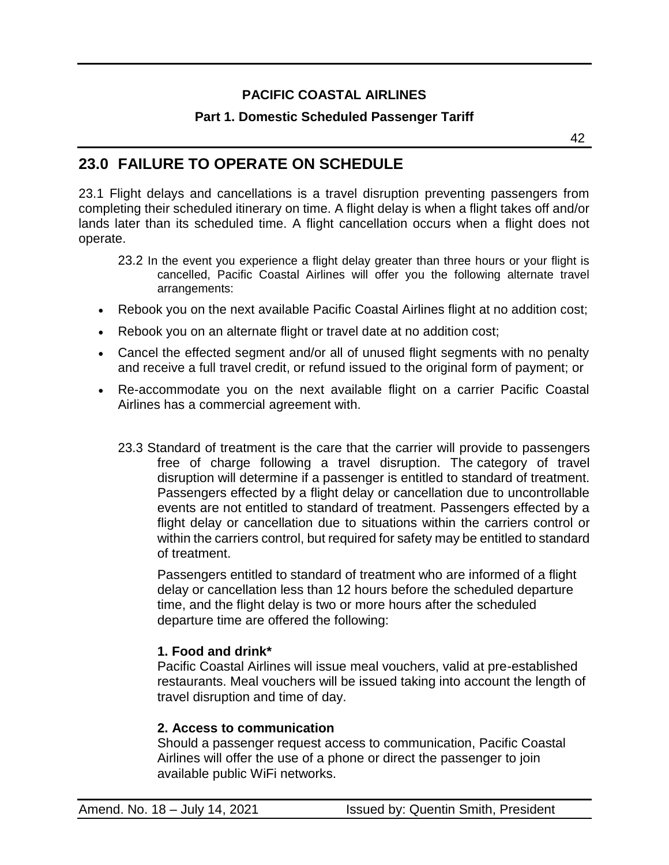### **Part 1. Domestic Scheduled Passenger Tariff**

### <span id="page-41-0"></span>**23.0 FAILURE TO OPERATE ON SCHEDULE**

23.1 Flight delays and cancellations is a travel disruption preventing passengers from completing their scheduled itinerary on time. A flight delay is when a flight takes off and/or lands later than its scheduled time. A flight cancellation occurs when a flight does not operate.

- 23.2 In the event you experience a flight delay greater than three hours or your flight is cancelled, Pacific Coastal Airlines will offer you the following alternate travel arrangements:
- Rebook you on the next available Pacific Coastal Airlines flight at no addition cost;
- Rebook you on an alternate flight or travel date at no addition cost;
- Cancel the effected segment and/or all of unused flight segments with no penalty and receive a full travel credit, or refund issued to the original form of payment; or
- Re-accommodate you on the next available flight on a carrier Pacific Coastal Airlines has a commercial agreement with.
	- 23.3 Standard of treatment is the care that the carrier will provide to passengers free of charge following a travel disruption. The category of travel disruption will determine if a passenger is entitled to standard of treatment. Passengers effected by a flight delay or cancellation due to uncontrollable events are not entitled to standard of treatment. Passengers effected by a flight delay or cancellation due to situations within the carriers control or within the carriers control, but required for safety may be entitled to standard of treatment.

Passengers entitled to standard of treatment who are informed of a flight delay or cancellation less than 12 hours before the scheduled departure time, and the flight delay is two or more hours after the scheduled departure time are offered the following:

#### **1. Food and drink\***

Pacific Coastal Airlines will issue meal vouchers, valid at pre-established restaurants. Meal vouchers will be issued taking into account the length of travel disruption and time of day.

#### **2. Access to communication**

Should a passenger request access to communication, Pacific Coastal Airlines will offer the use of a phone or direct the passenger to join available public WiFi networks.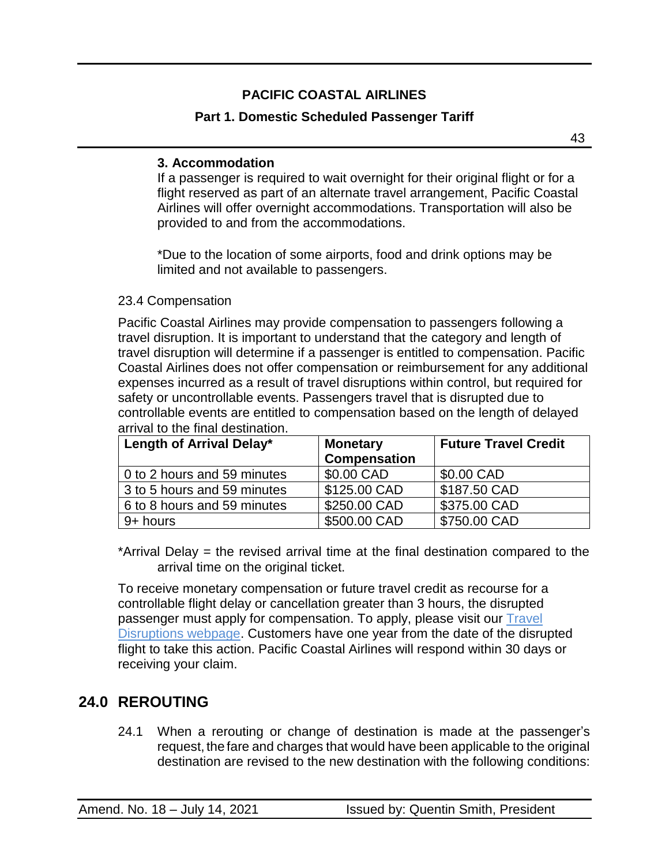### **Part 1. Domestic Scheduled Passenger Tariff**

43

#### **3. Accommodation**

If a passenger is required to wait overnight for their original flight or for a flight reserved as part of an alternate travel arrangement, Pacific Coastal Airlines will offer overnight accommodations. Transportation will also be provided to and from the accommodations.

\*Due to the location of some airports, food and drink options may be limited and not available to passengers.

#### 23.4 Compensation

Pacific Coastal Airlines may provide compensation to passengers following a travel disruption. It is important to understand that the [category](https://www.pacificcoastal.com/td_demo1/) and length of travel [disruption](https://www.pacificcoastal.com/td_demo1/) will determine if a passenger is entitled to compensation. Pacific Coastal Airlines does not offer compensation or reimbursement for any additional expenses incurred as a result of travel disruptions within control, but required for safety or uncontrollable events. Passengers travel that is disrupted due to controllable events are entitled to compensation based on the length of delayed arrival to the final destination.

| Length of Arrival Delay*    | <b>Monetary</b><br><b>Compensation</b> | <b>Future Travel Credit</b> |
|-----------------------------|----------------------------------------|-----------------------------|
| 0 to 2 hours and 59 minutes | \$0.00 CAD                             | \$0.00 CAD                  |
| 3 to 5 hours and 59 minutes | \$125.00 CAD                           | \$187.50 CAD                |
| 6 to 8 hours and 59 minutes | \$250.00 CAD                           | \$375.00 CAD                |
| 9+ hours                    | \$500.00 CAD                           | \$750.00 CAD                |

\*Arrival Delay = the revised arrival time at the final destination compared to the arrival time on the original ticket.

To receive monetary compensation or future travel credit as recourse for a controllable flight delay or cancellation greater than 3 hours, the disrupted passenger must apply for compensation. To apply, please visit our Travel [Disruptions webpage.](https://www.pacificcoastal.com/travel-disruptions/) Customers have one year from the date of the disrupted flight to take this action. Pacific Coastal Airlines will respond within 30 days or receiving your claim.

## <span id="page-42-0"></span>**24.0 REROUTING**

24.1 When a rerouting or change of destination is made at the passenger's request, the fare and charges that would have been applicable to the original destination are revised to the new destination with the following conditions: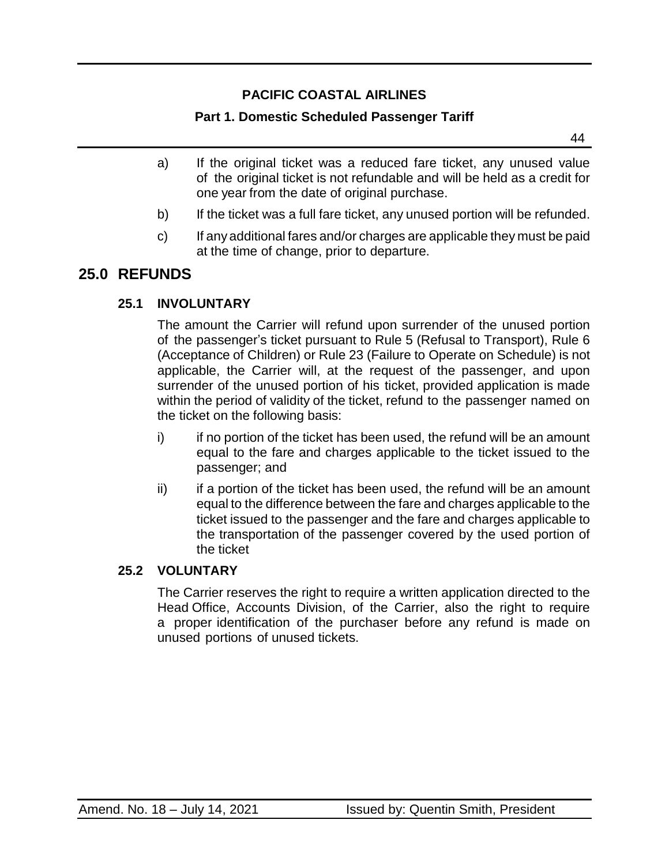### **Part 1. Domestic Scheduled Passenger Tariff**

44

- a) If the original ticket was a reduced fare ticket, any unused value of the original ticket is not refundable and will be held as a credit for one year from the date of original purchase.
- b) If the ticket was a full fare ticket, any unused portion will be refunded.
- c) If any additional fares and/or charges are applicable they must be paid at the time of change, prior to departure.

## <span id="page-43-0"></span>**25.0 REFUNDS**

### **25.1 INVOLUNTARY**

The amount the Carrier will refund upon surrender of the unused portion of the passenger's ticket pursuant to Rule 5 (Refusal to Transport), Rule 6 (Acceptance of Children) or Rule 23 (Failure to Operate on Schedule) is not applicable, the Carrier will, at the request of the passenger, and upon surrender of the unused portion of his ticket, provided application is made within the period of validity of the ticket, refund to the passenger named on the ticket on the following basis:

- i) if no portion of the ticket has been used, the refund will be an amount equal to the fare and charges applicable to the ticket issued to the passenger; and
- ii) if a portion of the ticket has been used, the refund will be an amount equal to the difference between the fare and charges applicable to the ticket issued to the passenger and the fare and charges applicable to the transportation of the passenger covered by the used portion of the ticket

#### **25.2 VOLUNTARY**

The Carrier reserves the right to require a written application directed to the Head Office, Accounts Division, of the Carrier, also the right to require a proper identification of the purchaser before any refund is made on unused portions of unused tickets.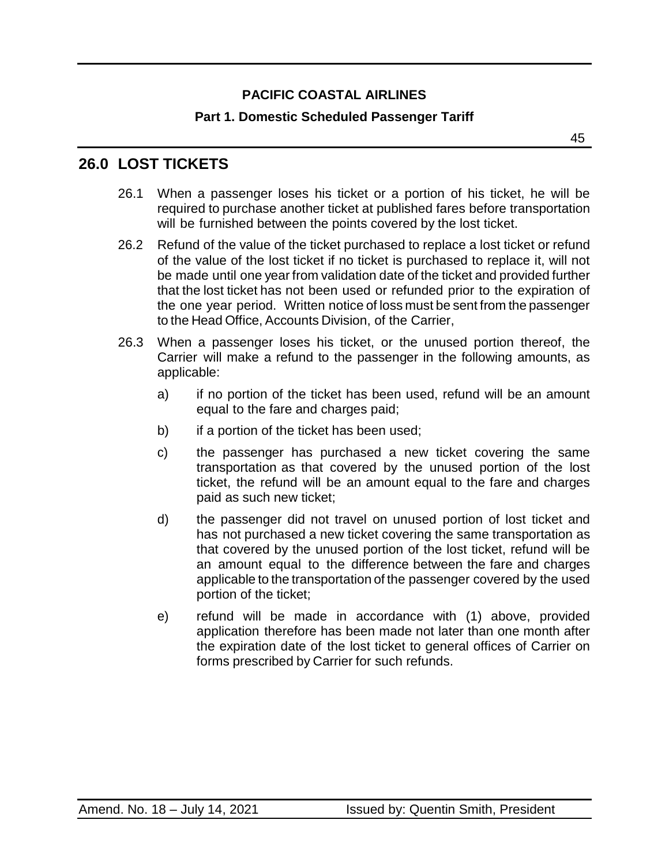#### **Part 1. Domestic Scheduled Passenger Tariff**

45

### <span id="page-44-0"></span>**26.0 LOST TICKETS**

- 26.1 When a passenger loses his ticket or a portion of his ticket, he will be required to purchase another ticket at published fares before transportation will be furnished between the points covered by the lost ticket.
- 26.2 Refund of the value of the ticket purchased to replace a lost ticket or refund of the value of the lost ticket if no ticket is purchased to replace it, will not be made until one year from validation date of the ticket and provided further that the lost ticket has not been used or refunded prior to the expiration of the one year period. Written notice of loss must be sent from the passenger to the Head Office, Accounts Division, of the Carrier,
- 26.3 When a passenger loses his ticket, or the unused portion thereof, the Carrier will make a refund to the passenger in the following amounts, as applicable:
	- a) if no portion of the ticket has been used, refund will be an amount equal to the fare and charges paid;
	- b) if a portion of the ticket has been used;
	- c) the passenger has purchased a new ticket covering the same transportation as that covered by the unused portion of the lost ticket, the refund will be an amount equal to the fare and charges paid as such new ticket;
	- d) the passenger did not travel on unused portion of lost ticket and has not purchased a new ticket covering the same transportation as that covered by the unused portion of the lost ticket, refund will be an amount equal to the difference between the fare and charges applicable to the transportation of the passenger covered by the used portion of the ticket;
	- e) refund will be made in accordance with (1) above, provided application therefore has been made not later than one month after the expiration date of the lost ticket to general offices of Carrier on forms prescribed by Carrier for such refunds.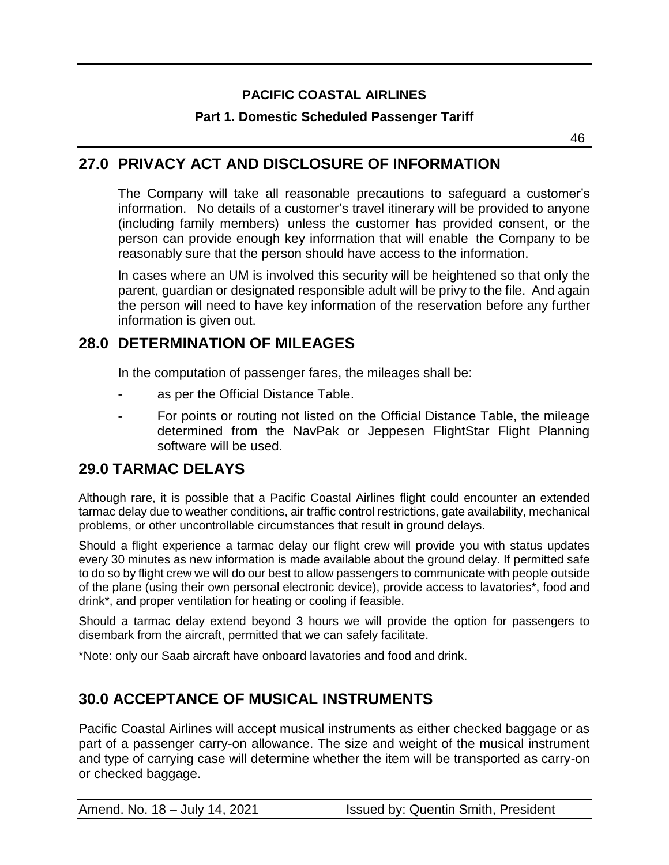**Part 1. Domestic Scheduled Passenger Tariff**

46

### <span id="page-45-0"></span>**27.0 PRIVACY ACT AND DISCLOSURE OF INFORMATION**

The Company will take all reasonable precautions to safeguard a customer's information. No details of a customer's travel itinerary will be provided to anyone (including family members) unless the customer has provided consent, or the person can provide enough key information that will enable the Company to be reasonably sure that the person should have access to the information.

In cases where an UM is involved this security will be heightened so that only the parent, guardian or designated responsible adult will be privy to the file. And again the person will need to have key information of the reservation before any further information is given out.

### <span id="page-45-1"></span>**28.0 DETERMINATION OF MILEAGES**

In the computation of passenger fares, the mileages shall be:

- as per the Official Distance Table.
- For points or routing not listed on the Official Distance Table, the mileage determined from the NavPak or Jeppesen FlightStar Flight Planning software will be used.

### <span id="page-45-2"></span>**29.0 TARMAC DELAYS**

Although rare, it is possible that a Pacific Coastal Airlines flight could encounter an extended tarmac delay due to weather conditions, air traffic control restrictions, gate availability, mechanical problems, or other uncontrollable circumstances that result in ground delays.

Should a flight experience a tarmac delay our flight crew will provide you with status updates every 30 minutes as new information is made available about the ground delay. If permitted safe to do so by flight crew we will do our best to allow passengers to communicate with people outside of the plane (using their own personal electronic device), provide access to lavatories\*, food and drink\*, and proper ventilation for heating or cooling if feasible.

Should a tarmac delay extend beyond 3 hours we will provide the option for passengers to disembark from the aircraft, permitted that we can safely facilitate.

\*Note: only our Saab aircraft have onboard lavatories and food and drink.

## <span id="page-45-3"></span>**30.0 ACCEPTANCE OF MUSICAL INSTRUMENTS**

Pacific Coastal Airlines will accept musical instruments as either checked baggage or as part of a passenger carry-on allowance. The size and weight of the musical instrument and type of carrying case will determine whether the item will be transported as carry-on or checked baggage.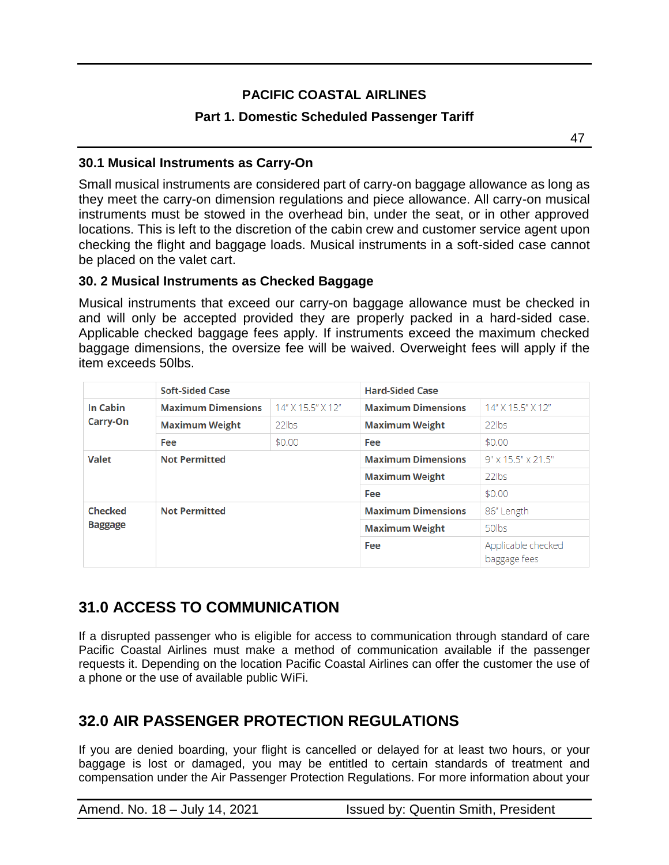#### **Part 1. Domestic Scheduled Passenger Tariff**

47

#### **30.1 Musical Instruments as Carry-On**

Small musical instruments are considered part of carry-on baggage allowance as long as they meet the carry-on dimension regulations and piece allowance. All carry-on musical instruments must be stowed in the overhead bin, under the seat, or in other approved locations. This is left to the discretion of the cabin crew and customer service agent upon checking the flight and baggage loads. Musical instruments in a soft-sided case cannot be placed on the valet cart.

#### **30. 2 Musical Instruments as Checked Baggage**

Musical instruments that exceed our carry-on baggage allowance must be checked in and will only be accepted provided they are properly packed in a hard-sided case. Applicable checked baggage fees apply. If instruments exceed the maximum checked baggage dimensions, the oversize fee will be waived. Overweight fees will apply if the item exceeds 50lbs.

|                      | <b>Soft-Sided Case</b>    |                   | <b>Hard-Sided Case</b>    |                                    |
|----------------------|---------------------------|-------------------|---------------------------|------------------------------------|
| In Cabin<br>Carry-On | <b>Maximum Dimensions</b> | 14" X 15.5" X 12" | <b>Maximum Dimensions</b> | 14" X 15.5" X 12"                  |
|                      | <b>Maximum Weight</b>     | 22lbs             | <b>Maximum Weight</b>     | 22lbs                              |
|                      | Fee                       | \$0.00            | Fee                       | \$0.00                             |
| <b>Valet</b>         | <b>Not Permitted</b>      |                   | <b>Maximum Dimensions</b> | 9" x 15.5" x 21.5"                 |
|                      |                           |                   | <b>Maximum Weight</b>     | 22lbs                              |
|                      |                           |                   | Fee                       | \$0.00                             |
| <b>Checked</b>       | <b>Not Permitted</b>      |                   | <b>Maximum Dimensions</b> | 86" Length                         |
| <b>Baggage</b>       |                           |                   | <b>Maximum Weight</b>     | 50lbs                              |
|                      |                           |                   | Fee                       | Applicable checked<br>baggage fees |

### <span id="page-46-0"></span>**31.0 ACCESS TO COMMUNICATION**

If a disrupted passenger who is eligible for access to communication through standard of care Pacific Coastal Airlines must make a method of communication available if the passenger requests it. Depending on the location Pacific Coastal Airlines can offer the customer the use of a phone or the use of available public WiFi.

### <span id="page-46-1"></span>**32.0 AIR PASSENGER PROTECTION REGULATIONS**

If you are denied boarding, your flight is cancelled or delayed for at least two hours, or your baggage is lost or damaged, you may be entitled to certain standards of treatment and compensation under the Air Passenger Protection Regulations. For more information about your

Amend. No. 18 – July 14, 2021 **Issued by: Quentin Smith, President**